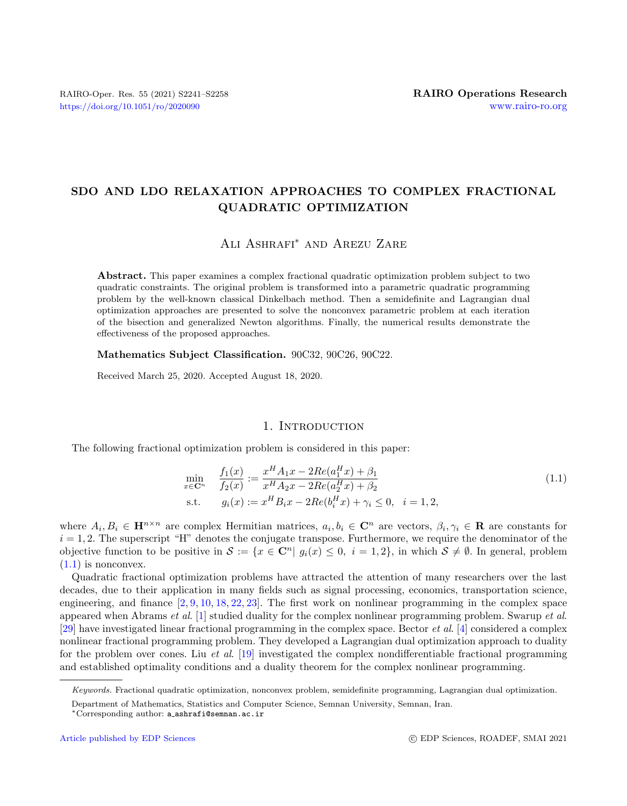# SDO AND LDO RELAXATION APPROACHES TO COMPLEX FRACTIONAL QUADRATIC OPTIMIZATION

## Ali Ashrafi<sup>∗</sup> and Arezu Zare

Abstract. This paper examines a complex fractional quadratic optimization problem subject to two quadratic constraints. The original problem is transformed into a parametric quadratic programming problem by the well-known classical Dinkelbach method. Then a semidefinite and Lagrangian dual optimization approaches are presented to solve the nonconvex parametric problem at each iteration of the bisection and generalized Newton algorithms. Finally, the numerical results demonstrate the effectiveness of the proposed approaches.

Mathematics Subject Classification. 90C32, 90C26, 90C22.

Received March 25, 2020. Accepted August 18, 2020.

#### 1. INTRODUCTION

The following fractional optimization problem is considered in this paper:

<span id="page-0-0"></span>
$$
\min_{x \in \mathbf{C}^n} \quad \frac{f_1(x)}{f_2(x)} := \frac{x^H A_1 x - 2Re(a_1^H x) + \beta_1}{x^H A_2 x - 2Re(a_2^H x) + \beta_2} \n\text{s.t.} \quad g_i(x) := x^H B_i x - 2Re(b_i^H x) + \gamma_i \le 0, \quad i = 1, 2,
$$
\n(1.1)

where  $A_i, B_i \in \mathbf{H}^{n \times n}$  are complex Hermitian matrices,  $a_i, b_i \in \mathbf{C}^n$  are vectors,  $\beta_i, \gamma_i \in \mathbf{R}$  are constants for  $i = 1, 2$ . The superscript "H" denotes the conjugate transpose. Furthermore, we require the denominator of the objective function to be positive in  $S := \{x \in \mathbb{C}^n | g_i(x) \leq 0, i = 1, 2\}$ , in which  $S \neq \emptyset$ . In general, problem  $(1.1)$  is nonconvex.

Quadratic fractional optimization problems have attracted the attention of many researchers over the last decades, due to their application in many fields such as signal processing, economics, transportation science, engineering, and finance  $[2, 9, 10, 18, 22, 23]$  $[2, 9, 10, 18, 22, 23]$  $[2, 9, 10, 18, 22, 23]$  $[2, 9, 10, 18, 22, 23]$  $[2, 9, 10, 18, 22, 23]$  $[2, 9, 10, 18, 22, 23]$  $[2, 9, 10, 18, 22, 23]$  $[2, 9, 10, 18, 22, 23]$  $[2, 9, 10, 18, 22, 23]$  $[2, 9, 10, 18, 22, 23]$  $[2, 9, 10, 18, 22, 23]$ . The first work on nonlinear programming in the complex space appeared when Abrams et al. [\[1\]](#page-17-6) studied duality for the complex nonlinear programming problem. Swarup et al. [\[29\]](#page-17-7) have investigated linear fractional programming in the complex space. Bector *et al.* [\[4\]](#page-17-8) considered a complex nonlinear fractional programming problem. They developed a Lagrangian dual optimization approach to duality for the problem over cones. Liu et al. [\[19\]](#page-17-9) investigated the complex nondifferentiable fractional programming and established optimality conditions and a duality theorem for the complex nonlinear programming.

Keywords. Fractional quadratic optimization, nonconvex problem, semidefinite programming, Lagrangian dual optimization.

Department of Mathematics, Statistics and Computer Science, Semnan University, Semnan, Iran.

<sup>∗</sup>Corresponding author: a [ashrafi@semnan.ac.ir](mailto:a_ashrafi@semnan.ac.ir)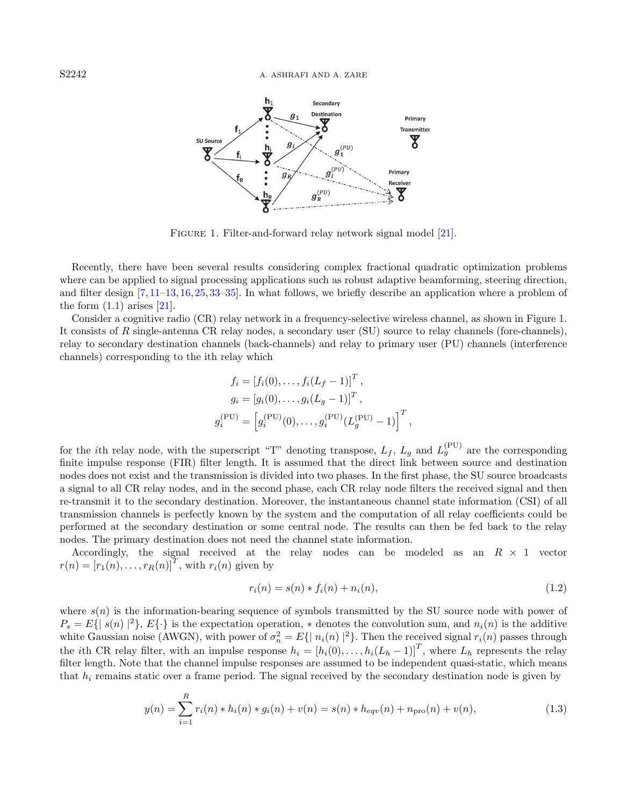<span id="page-1-0"></span>

FIGURE 1. Filter-and-forward relay network signal model [\[21\]](#page-17-10).

Recently, there have been several results considering complex fractional quadratic optimization problems where can be applied to signal processing applications such as robust adaptive beamforming, steering direction, and filter design [\[7,](#page-17-11) [11–](#page-17-12)[13,](#page-17-13) [16,](#page-17-14) [25,](#page-17-15) [33–](#page-17-16)[35\]](#page-17-17). In what follows, we briefly describe an application where a problem of the form  $(1.1)$  arises  $[21]$ .

Consider a cognitive radio (CR) relay network in a frequency-selective wireless channel, as shown in Figure [1.](#page-1-0) It consists of R single-antenna CR relay nodes, a secondary user (SU) source to relay channels (fore-channels), relay to secondary destination channels (back-channels) and relay to primary user (PU) channels (interference channels) corresponding to the ith relay which

$$
f_i = [f_i(0), \dots, f_i(L_f - 1)]^T,
$$
  
\n
$$
g_i = [g_i(0), \dots, g_i(L_g - 1)]^T,
$$
  
\n
$$
g_i^{(PU)} = [g_i^{(PU)}(0), \dots, g_i^{(PU)}(L_g^{(PU)} - 1)]^T
$$

for the *i*th relay node, with the superscript "T" denoting transpose,  $L_f$ ,  $L_g$  and  $L_g^{(PU)}$  are the corresponding finite impulse response (FIR) filter length. It is assumed that the direct link between source and destination nodes does not exist and the transmission is divided into two phases. In the first phase, the SU source broadcasts a signal to all CR relay nodes, and in the second phase, each CR relay node filters the received signal and then re-transmit it to the secondary destination. Moreover, the instantaneous channel state information (CSI) of all transmission channels is perfectly known by the system and the computation of all relay coefficients could be performed at the secondary destination or some central node. The results can then be fed back to the relay nodes. The primary destination does not need the channel state information.

Accordingly, the signal received at the relay nodes can be modeled as an  $R \times 1$  vector  $r(n) = [r_1(n), \ldots, r_R(n)]^T$ , with  $r_i(n)$  given by

$$
r_i(n) = s(n) * f_i(n) + n_i(n),
$$
\n(1.2)

,

where  $s(n)$  is the information-bearing sequence of symbols transmitted by the SU source node with power of  $P_s = E\{ |s(n)|^2 \}, E\{\cdot\}$  is the expectation operation,  $*$  denotes the convolution sum, and  $n_i(n)$  is the additive white Gaussian noise (AWGN), with power of  $\sigma_n^2 = E\{ |n_i(n)|^2 \}$ . Then the received signal  $r_i(n)$  passes through the *i*th CR relay filter, with an impulse response  $h_i = [h_i(0), \ldots, h_i(L_h-1)]^T$ , where  $L_h$  represents the relay filter length. Note that the channel impulse responses are assumed to be independent quasi-static, which means that  $h_i$  remains static over a frame period. The signal received by the secondary destination node is given by

<span id="page-1-1"></span>
$$
y(n) = \sum_{i=1}^{R} r_i(n) * h_i(n) * g_i(n) + v(n) = s(n) * h_{eqv}(n) + n_{\text{pro}}(n) + v(n),
$$
\n(1.3)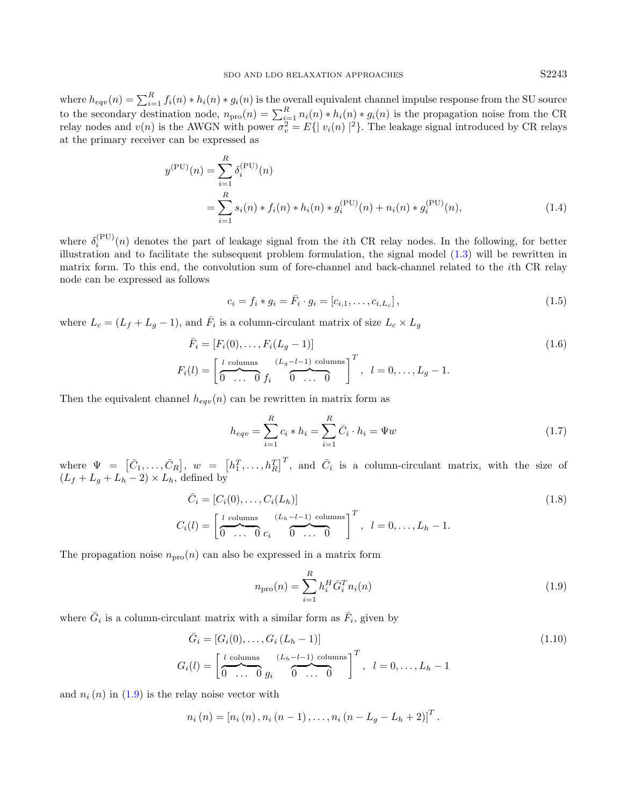<span id="page-2-2"></span>

where  $h_{eqv}(n) = \sum_{i=1}^{R} f_i(n) * h_i(n) * g_i(n)$  is the overall equivalent channel impulse response from the SU source to the secondary destination node,  $n_{\text{pro}}(n) = \sum_{i=1}^{R} n_i(n) * h_i(n) * g_i(n)$  is the propagation noise from the CR relay nodes and  $v(n)$  is the AWGN with power  $\sigma_v^2 = E\{ |v_i(n)|^2 \}$ . The leakage signal introduced by CR relays at the primary receiver can be expressed as

$$
y^{(PU)}(n) = \sum_{i=1}^{R} \delta_i^{(PU)}(n)
$$
  
= 
$$
\sum_{i=1}^{R} s_i(n) * f_i(n) * h_i(n) * g_i^{(PU)}(n) + n_i(n) * g_i^{(PU)}(n),
$$
 (1.4)

where  $\delta_i^{(PU)}(n)$  denotes the part of leakage signal from the *i*th CR relay nodes. In the following, for better illustration and to facilitate the subsequent problem formulation, the signal model [\(1.3\)](#page-1-1) will be rewritten in matrix form. To this end, the convolution sum of fore-channel and back-channel related to the ith CR relay node can be expressed as follows

<span id="page-2-1"></span>
$$
c_i = f_i * g_i = \bar{F}_i \cdot g_i = [c_{i,1}, \dots, c_{i,L_c}],
$$
\n(1.5)

where  $L_c = (L_f + L_g - 1)$ , and  $\overline{F}_i$  is a column-circulant matrix of size  $L_c \times L_g$ 

$$
\bar{F}_i = [F_i(0), \dots, F_i(L_g - 1)]
$$
\n
$$
F_i(l) = \left[ \underbrace{\begin{matrix} l \text{ columns} & (L_g - l - 1) \text{ columns} \\ 0 & \dots & 0 \end{matrix} \right]^T}_{1 \text{ times}} , \quad l = 0, \dots, L_g - 1.
$$
\n
$$
(1.6)
$$

Then the equivalent channel  $h_{eqv}(n)$  can be rewritten in matrix form as

<span id="page-2-0"></span>
$$
h_{eqv} = \sum_{i=1}^{R} c_i * h_i = \sum_{i=1}^{R} \bar{C}_i \cdot h_i = \Psi w \tag{1.7}
$$

where  $\Psi = [\bar{C}_1,\ldots,\bar{C}_R], w = [h_1^T,\ldots,h_R^T]^T$ , and  $\bar{C}_i$  is a column-circulant matrix, with the size of  $(L_f + L_g + L_h - 2) \times L_h$ , defined by

$$
\bar{C}_i = [C_i(0), \dots, C_i(L_h)]
$$
\n
$$
C_i(l) = \left[\begin{array}{ccc} l & \text{columns} & (L_h - l - 1) & \text{columns} \\ 0 & \dots & 0 & c_i \end{array}\right]^T, \quad l = 0, \dots, L_h - 1.
$$
\n
$$
(1.8)
$$

The propagation noise  $n_{\text{pro}}(n)$  can also be expressed in a matrix form

$$
n_{\rm pro}(n) = \sum_{i=1}^{R} h_i^H \bar{G}_i^T n_i(n)
$$
\n(1.9)

where  $\bar{G}_i$  is a column-circulant matrix with a similar form as  $\bar{F}_i$ , given by

$$
\bar{G}_i = [G_i(0), \dots, G_i(L_h - 1)]
$$
\n
$$
G_i(l) = \left[\frac{l \text{ columns}}{0 \dots 0} \frac{(L_h - l - 1) \text{ columns}}{0 \dots 0}\right]^T, \quad l = 0, \dots, L_h - 1
$$
\n(1.10)

and  $n_i(n)$  in  $(1.9)$  is the relay noise vector with

$$
n_i(n) = [n_i(n), n_i(n-1), \ldots, n_i(n-L_g-L_h+2)]^T.
$$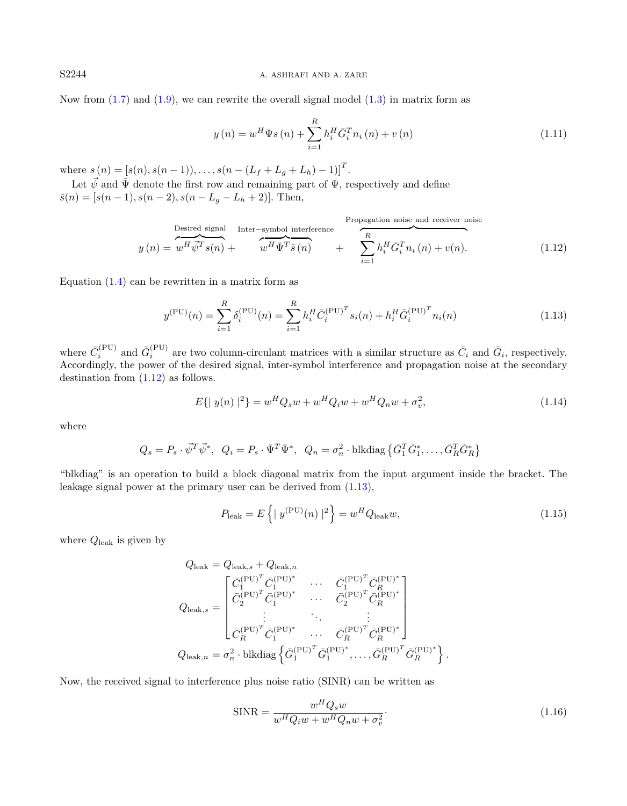Now from  $(1.7)$  and  $(1.9)$ , we can rewrite the overall signal model  $(1.3)$  in matrix form as

$$
y(n) = w^{H} \Psi s(n) + \sum_{i=1}^{R} h_{i}^{H} \bar{G}_{i}^{T} n_{i}(n) + v(n)
$$
\n(1.11)

where  $s(n) = [s(n), s(n-1)), \ldots, s(n-(L_f+L_g+L_h)-1)]^T$ .

Let  $\vec{\psi}$  and  $\bar{\Psi}$  denote the first row and remaining part of  $\Psi$ , respectively and define  $\bar{s}(n) = [s(n-1), s(n-2), s(n-L_g-L_h+2)].$  Then,

<span id="page-3-0"></span>
$$
y(n) = w^H \vec{\psi}^T s(n) + \overbrace{w^H \vec{\Psi}^T \vec{s}(n)}^{\text{Desired signal}} + \overbrace{w^H \vec{\Psi}^T \vec{s}(n)}^{\text{Propagation noise}} + \sum_{i=1}^{R} h_i^H \bar{G}_i^T n_i(n) + v(n). \tag{1.12}
$$

Equation  $(1.4)$  can be rewritten in a matrix form as

<span id="page-3-1"></span>
$$
y^{(PU)}(n) = \sum_{i=1}^{R} \delta_i^{(PU)}(n) = \sum_{i=1}^{R} h_i^H \bar{C}_i^{(PU)^T} s_i(n) + h_i^H \bar{G}_i^{(PU)^T} n_i(n)
$$
(1.13)

where  $\bar{C}_i^{(PU)}$  and  $\bar{G}_i^{(PU)}$  are two column-circulant matrices with a similar structure as  $\bar{C}_i$  and  $\bar{G}_i$ , respectively. Accordingly, the power of the desired signal, inter-symbol interference and propagation noise at the secondary destination from [\(1.12\)](#page-3-0) as follows.

$$
E\{|y(n)|^2\} = w^H Q_s w + w^H Q_i w + w^H Q_n w + \sigma_v^2,
$$
\n(1.14)

where

$$
Q_s = P_s \cdot \vec{\psi}^T \vec{\psi}^*, \ \ Q_i = P_s \cdot \bar{\Psi}^T \bar{\Psi}^*, \ \ Q_n = \sigma_n^2 \cdot \text{blkdiag}\left\{ \bar{G}_1^T \bar{G}_1^*, \dots, \bar{G}_R^T \bar{G}_R^* \right\}
$$

"blkdiag" is an operation to build a block diagonal matrix from the input argument inside the bracket. The leakage signal power at the primary user can be derived from [\(1.13\)](#page-3-1),

$$
P_{\text{leak}} = E\left\{ \mid y^{(\text{PU})}(n) \mid ^{2} \right\} = w^{H}Q_{\text{leak}}w,\tag{1.15}
$$

where  $Q_{\text{leak}}$  is given by

$$
Q_{\text{leak}} = Q_{\text{leak},s} + Q_{\text{leak},n}
$$
  
\n
$$
Q_{\text{leak},s} = \begin{bmatrix} \bar{C}_1^{(\text{PU})^T} \bar{C}_1^{(\text{PU})^*} & \cdots & \bar{C}_1^{(\text{PU})^T} \bar{C}_R^{(\text{PU})^*} \\ \bar{C}_2^{(\text{PU})^T} \bar{C}_1^{(\text{PU})^*} & \cdots & \bar{C}_2^{(\text{PU})^T} \bar{C}_R^{(\text{PU})^*} \\ \vdots & \ddots & \vdots \\ \bar{C}_R^{(\text{PU})^T} \bar{C}_1^{(\text{PU})^*} & \cdots & \bar{C}_R^{(\text{PU})^T} \bar{C}_R^{(\text{PU})^*} \end{bmatrix}
$$
  
\n
$$
Q_{\text{leak},n} = \sigma_n^2 \cdot \text{blkdiag}\left\{\bar{G}_1^{(\text{PU})^T} \bar{G}_1^{(\text{PU})^*}, \dots, \bar{G}_R^{(\text{PU})^T} \bar{G}_R^{(\text{PU})^*}\right\}.
$$

Now, the received signal to interference plus noise ratio (SINR) can be written as

$$
\text{SINR} = \frac{w^H Q_s w}{w^H Q_i w + w^H Q_n w + \sigma_v^2}.
$$
\n(1.16)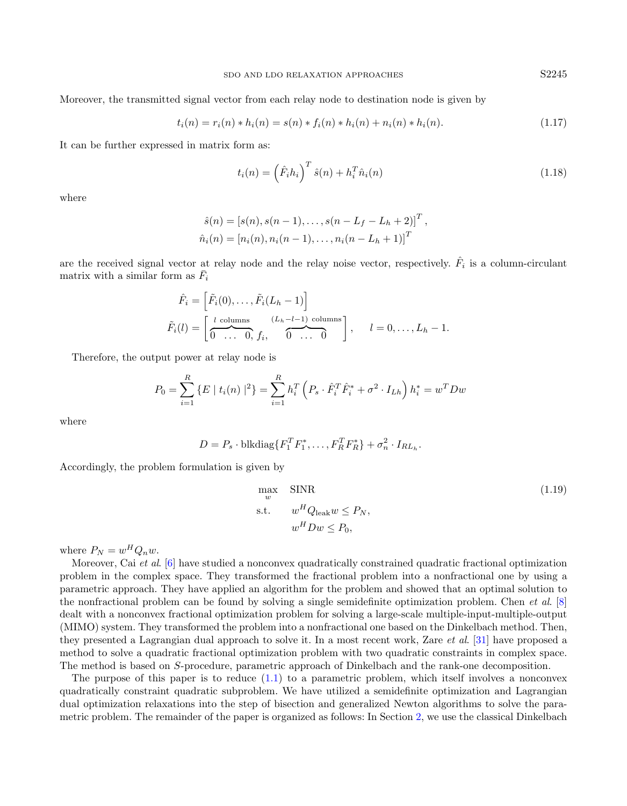Moreover, the transmitted signal vector from each relay node to destination node is given by

$$
t_i(n) = r_i(n) * h_i(n) = s(n) * f_i(n) * h_i(n) + n_i(n) * h_i(n).
$$
\n(1.17)

It can be further expressed in matrix form as:

$$
t_i(n) = \left(\hat{F}_i h_i\right)^T \hat{s}(n) + h_i^T \hat{n}_i(n) \tag{1.18}
$$

where

$$
\hat{s}(n) = [s(n), s(n-1), \dots, s(n-L_f-L_h+2)]^T,
$$
  
\n
$$
\hat{n}_i(n) = [n_i(n), n_i(n-1), \dots, n_i(n-L_h+1)]^T
$$

are the received signal vector at relay node and the relay noise vector, respectively.  $\hat{F}_i$  is a column-circulant matrix with a similar form as  $\bar{F}_i$ 

$$
\hat{F}_i = \left[\tilde{F}_i(0), \dots, \tilde{F}_i(L_h - 1)\right]
$$
\n
$$
\tilde{F}_i(l) = \left[\begin{array}{ccc} l & \text{columns} & (L_h - l - 1) & \text{columns} \\ \hline 0 & \dots & 0, f_i, & 0 & \dots & 0 \end{array}\right], \quad l = 0, \dots, L_h - 1.
$$

Therefore, the output power at relay node is

$$
P_0 = \sum_{i=1}^R \{ E \mid t_i(n) \mid ^2 \} = \sum_{i=1}^R h_i^T \left( P_s \cdot \hat{F}_i^T \hat{F}_i^* + \sigma^2 \cdot I_{Lh} \right) h_i^* = w^T D w
$$

where

$$
D = P_s \cdot \text{blkdiag}\{F_1^T F_1^*, \dots, F_R^T F_R^*\} + \sigma_n^2 \cdot I_{RL_h}.
$$

Accordingly, the problem formulation is given by

$$
\max_{w} \quad \text{SINR} \tag{1.19}
$$
\n
$$
\text{s.t.} \quad w^H Q_{\text{leak}} w \le P_N,
$$
\n
$$
w^H D w \le P_0,
$$

where  $P_N = w^H Q_n w$ .

Moreover, Cai et al. [\[6\]](#page-17-18) have studied a nonconvex quadratically constrained quadratic fractional optimization problem in the complex space. They transformed the fractional problem into a nonfractional one by using a parametric approach. They have applied an algorithm for the problem and showed that an optimal solution to the nonfractional problem can be found by solving a single semidefinite optimization problem. Chen et al. [\[8\]](#page-17-19) dealt with a nonconvex fractional optimization problem for solving a large-scale multiple-input-multiple-output (MIMO) system. They transformed the problem into a nonfractional one based on the Dinkelbach method. Then, they presented a Lagrangian dual approach to solve it. In a most recent work, Zare et al. [\[31\]](#page-17-20) have proposed a method to solve a quadratic fractional optimization problem with two quadratic constraints in complex space. The method is based on S-procedure, parametric approach of Dinkelbach and the rank-one decomposition.

The purpose of this paper is to reduce [\(1.1\)](#page-0-0) to a parametric problem, which itself involves a nonconvex quadratically constraint quadratic subproblem. We have utilized a semidefinite optimization and Lagrangian dual optimization relaxations into the step of bisection and generalized Newton algorithms to solve the parametric problem. The remainder of the paper is organized as follows: In Section [2,](#page-5-0) we use the classical Dinkelbach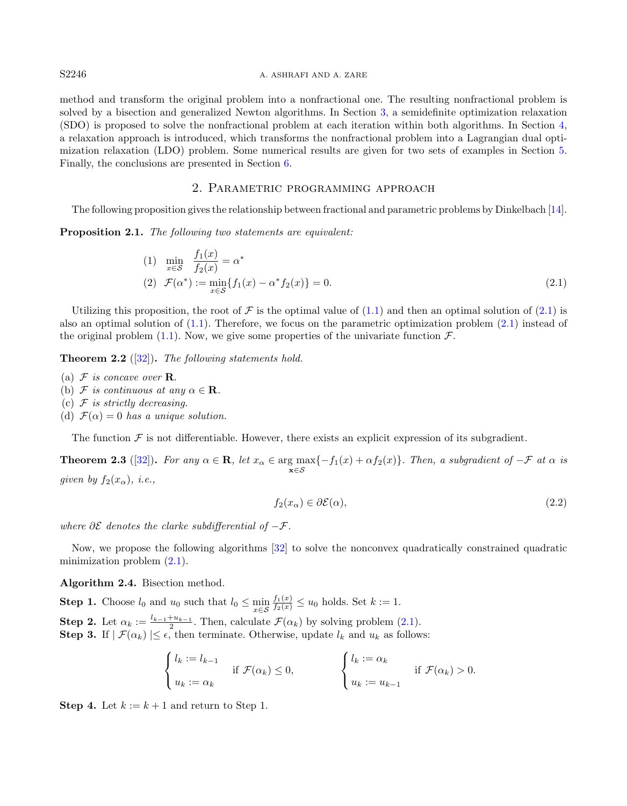#### S2246 A. ASHRAFI AND A. ZARE

method and transform the original problem into a nonfractional one. The resulting nonfractional problem is solved by a bisection and generalized Newton algorithms. In Section [3,](#page-6-0) a semidefinite optimization relaxation (SDO) is proposed to solve the nonfractional problem at each iteration within both algorithms. In Section [4,](#page-9-0) a relaxation approach is introduced, which transforms the nonfractional problem into a Lagrangian dual optimization relaxation (LDO) problem. Some numerical results are given for two sets of examples in Section [5.](#page-13-0) Finally, the conclusions are presented in Section [6.](#page-16-0)

### <span id="page-5-1"></span>2. Parametric programming approach

<span id="page-5-0"></span>The following proposition gives the relationship between fractional and parametric problems by Dinkelbach [\[14\]](#page-17-21).

<span id="page-5-3"></span>Proposition 2.1. The following two statements are equivalent:

(1) 
$$
\min_{x \in S} \frac{f_1(x)}{f_2(x)} = \alpha^*
$$
  
(2) 
$$
\mathcal{F}(\alpha^*) := \min_{x \in S} \{ f_1(x) - \alpha^* f_2(x) \} = 0.
$$
 (2.1)

Utilizing this proposition, the root of F is the optimal value of  $(1.1)$  and then an optimal solution of  $(2.1)$  is also an optimal solution of [\(1.1\)](#page-0-0). Therefore, we focus on the parametric optimization problem [\(2.1\)](#page-5-1) instead of the original problem [\(1.1\)](#page-0-0). Now, we give some properties of the univariate function  $\mathcal{F}$ .

**Theorem 2.2** ([\[32\]](#page-17-22)). The following statements hold.

- (a)  $\mathcal F$  is concave over **R**.
- (b) F is continuous at any  $\alpha \in \mathbf{R}$ .
- (c)  $\mathcal F$  is strictly decreasing.
- (d)  $\mathcal{F}(\alpha) = 0$  has a unique solution.

The function  $\mathcal F$  is not differentiable. However, there exists an explicit expression of its subgradient.

**Theorem 2.3** ([\[32\]](#page-17-22)). For any  $\alpha \in \mathbb{R}$ , let  $x_{\alpha} \in \arg \max_{\mathbf{x} \in \mathcal{S}} \{-f_1(x) + \alpha f_2(x)\}$ . Then, a subgradient of  $-\mathcal{F}$  at  $\alpha$  is given by  $f_2(x_\alpha)$ , i.e.,

$$
f_2(x_\alpha) \in \partial \mathcal{E}(\alpha),\tag{2.2}
$$

where  $\partial \mathcal{E}$  denotes the clarke subdifferential of  $-\mathcal{F}$ .

Now, we propose the following algorithms [\[32\]](#page-17-22) to solve the nonconvex quadratically constrained quadratic minimization problem [\(2.1\)](#page-5-1).

<span id="page-5-2"></span>Algorithm 2.4. Bisection method.

**Step 1.** Choose  $l_0$  and  $u_0$  such that  $l_0 \leq \min_{x \in \mathcal{S}}$  $\frac{f_1(x)}{f_2(x)} \leq u_0$  holds. Set  $k := 1$ . **Step 2.** Let  $\alpha_k := \frac{l_{k-1}+u_{k-1}}{2}$ . Then, calculate  $\mathcal{F}(\alpha_k)$  by solving problem [\(2.1\)](#page-5-1).

**Step 3.** If  $|\mathcal{F}(\alpha_k)| \leq \epsilon$ , then terminate. Otherwise, update  $l_k$  and  $u_k$  as follows:

$$
\begin{cases} l_k := l_{k-1} & \text{if } \mathcal{F}(\alpha_k) \leq 0, \\ u_k := \alpha_k & \text{if } \mathcal{F}(\alpha_k) > 0. \end{cases}
$$

**Step 4.** Let  $k := k + 1$  and return to Step 1.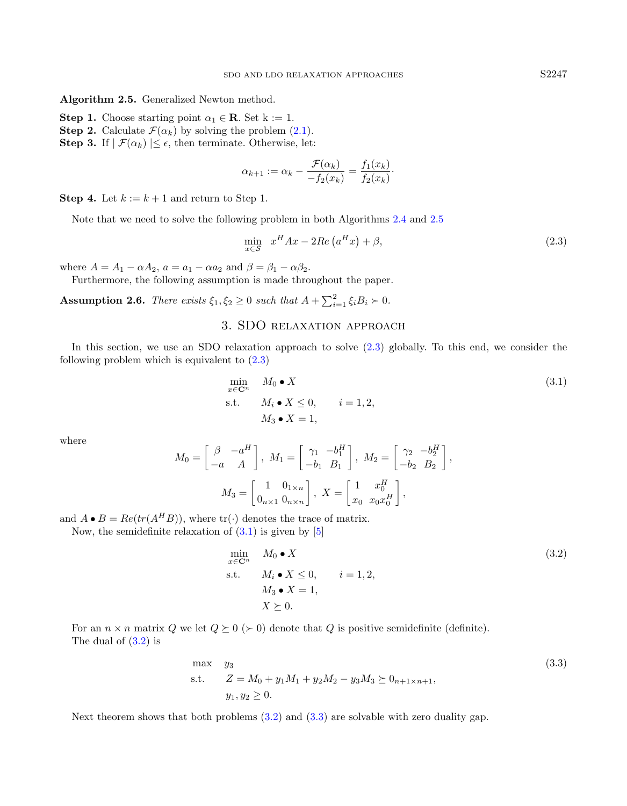<span id="page-6-1"></span>Algorithm 2.5. Generalized Newton method.

- **Step 1.** Choose starting point  $\alpha_1 \in \mathbb{R}$ . Set k := 1.
- **Step 2.** Calculate  $\mathcal{F}(\alpha_k)$  by solving the problem [\(2.1\)](#page-5-1).

**Step 3.** If  $|\mathcal{F}(\alpha_k)| \leq \epsilon$ , then terminate. Otherwise, let:

<span id="page-6-2"></span>
$$
\alpha_{k+1} := \alpha_k - \frac{\mathcal{F}(\alpha_k)}{-f_2(x_k)} = \frac{f_1(x_k)}{f_2(x_k)}.
$$

**Step 4.** Let  $k := k + 1$  and return to Step 1.

Note that we need to solve the following problem in both Algorithms [2.4](#page-5-2) and [2.5](#page-6-1)

<span id="page-6-3"></span>
$$
\min_{x \in \mathcal{S}} x^H A x - 2Re\left(a^H x\right) + \beta,\tag{2.3}
$$

where  $A = A_1 - \alpha A_2$ ,  $a = a_1 - \alpha a_2$  and  $\beta = \beta_1 - \alpha \beta_2$ .

Furthermore, the following assumption is made throughout the paper.

<span id="page-6-6"></span><span id="page-6-0"></span>**Assumption 2.6.** There exists  $\xi_1, \xi_2 \geq 0$  such that  $A + \sum_{i=1}^2 \xi_i B_i \succ 0$ .

## 3. SDO relaxation approach

In this section, we use an SDO relaxation approach to solve  $(2.3)$  globally. To this end, we consider the following problem which is equivalent to  $(2.3)$ 

<span id="page-6-4"></span>
$$
\min_{x \in \mathbb{C}^n} M_0 \bullet X
$$
\n
$$
\text{s.t.} \quad M_i \bullet X \le 0, \quad i = 1, 2,
$$
\n
$$
M_3 \bullet X = 1,
$$
\n
$$
(3.1)
$$

where

$$
M_0 = \begin{bmatrix} \beta & -a^H \\ -a & A \end{bmatrix}, M_1 = \begin{bmatrix} \gamma_1 & -b_1^H \\ -b_1 & B_1 \end{bmatrix}, M_2 = \begin{bmatrix} \gamma_2 & -b_2^H \\ -b_2 & B_2 \end{bmatrix},
$$

$$
M_3 = \begin{bmatrix} 1 & 0_{1 \times n} \\ 0_{n \times 1} & 0_{n \times n} \end{bmatrix}, X = \begin{bmatrix} 1 & x_0^H \\ x_0 & x_0 x_0^H \end{bmatrix},
$$

and  $A \bullet B = Re(tr(A^H B))$ , where  $tr(\cdot)$  denotes the trace of matrix.

Now, the semidefinite relaxation of  $(3.1)$  is given by  $[5]$ 

<span id="page-6-5"></span>
$$
\min_{x \in \mathbb{C}^n} M_0 \bullet X
$$
\n
$$
\text{s.t.} \quad M_i \bullet X \le 0, \quad i = 1, 2,
$$
\n
$$
M_3 \bullet X = 1,
$$
\n
$$
X \succeq 0.
$$
\n
$$
(3.2)
$$

For an  $n \times n$  matrix Q we let  $Q \succeq 0$  ( $\succ 0$ ) denote that Q is positive semidefinite (definite). The dual of [\(3.2\)](#page-6-4) is

max 
$$
y_3
$$
  
\ns.t.  $Z = M_0 + y_1 M_1 + y_2 M_2 - y_3 M_3 \succeq 0_{n+1 \times n+1}$ ,  
\n $y_1, y_2 \ge 0$ . (3.3)

<span id="page-6-7"></span>Next theorem shows that both problems [\(3.2\)](#page-6-4) and [\(3.3\)](#page-6-5) are solvable with zero duality gap.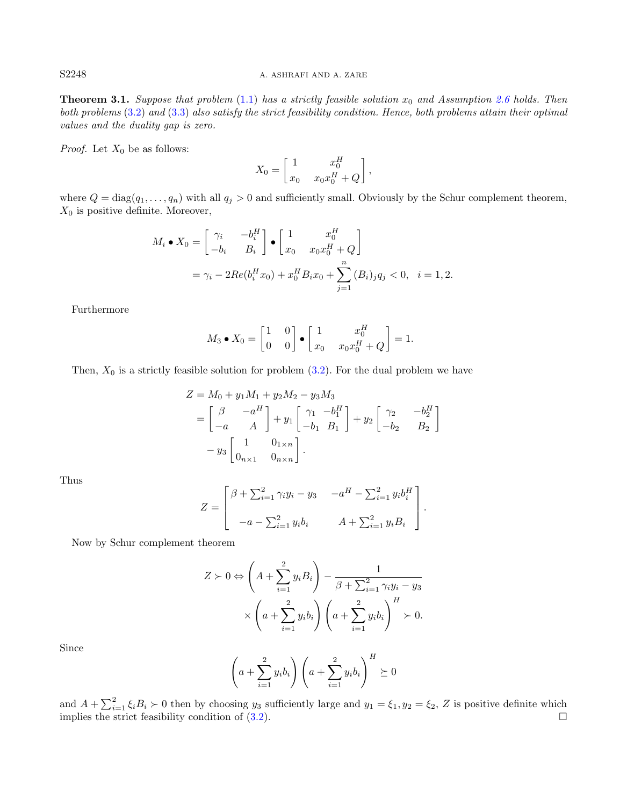### S2248 A. ASHRAFI AND A. ZARE

**Theorem 3.1.** Suppose that problem  $(1.1)$  $(1.1)$  has a strictly feasible solution  $x_0$  and Assumption [2.6](#page-6-6) holds. Then both problems [\(3](#page-6-4).2) and (3.[3\)](#page-6-5) also satisfy the strict feasibility condition. Hence, both problems attain their optimal values and the duality gap is zero.

*Proof.* Let  $X_0$  be as follows:

$$
X_0 = \begin{bmatrix} 1 & x_0^H \\ x_0 & x_0 x_0^H + Q \end{bmatrix},
$$

where  $Q = \text{diag}(q_1, \ldots, q_n)$  with all  $q_j > 0$  and sufficiently small. Obviously by the Schur complement theorem,  $X_0$  is positive definite. Moreover,

$$
M_i \bullet X_0 = \begin{bmatrix} \gamma_i & -b_i^H \\ -b_i & B_i \end{bmatrix} \bullet \begin{bmatrix} 1 & x_0^H \\ x_0 & x_0 x_0^H + Q \end{bmatrix}
$$
  
=  $\gamma_i - 2Re(b_i^H x_0) + x_0^H B_i x_0 + \sum_{j=1}^n (B_i)_j q_j < 0, \quad i = 1, 2.$ 

Furthermore

$$
M_3 \bullet X_0 = \begin{bmatrix} 1 & 0 \\ 0 & 0 \end{bmatrix} \bullet \begin{bmatrix} 1 & x_0^H \\ x_0 & x_0 x_0^H + Q \end{bmatrix} = 1.
$$

Then,  $X_0$  is a strictly feasible solution for problem [\(3.2\)](#page-6-4). For the dual problem we have

$$
Z = M_0 + y_1 M_1 + y_2 M_2 - y_3 M_3
$$
  
=  $\begin{bmatrix} \beta & -a^H \\ -a & A \end{bmatrix} + y_1 \begin{bmatrix} \gamma_1 & -b_1^H \\ -b_1 & B_1 \end{bmatrix} + y_2 \begin{bmatrix} \gamma_2 & -b_2^H \\ -b_2 & B_2 \end{bmatrix}$   
=  $y_3 \begin{bmatrix} 1 & 0_{1 \times n} \\ 0_{n \times 1} & 0_{n \times n} \end{bmatrix}$ .

Thus

$$
Z = \begin{bmatrix} \beta + \sum_{i=1}^{2} \gamma_i y_i - y_3 & -a^H - \sum_{i=1}^{2} y_i b_i^H \\ -a - \sum_{i=1}^{2} y_i b_i & A + \sum_{i=1}^{2} y_i B_i \end{bmatrix}.
$$

Now by Schur complement theorem

$$
Z \succ 0 \Leftrightarrow \left(A + \sum_{i=1}^{2} y_i B_i\right) - \frac{1}{\beta + \sum_{i=1}^{2} \gamma_i y_i - y_3}
$$

$$
\times \left(a + \sum_{i=1}^{2} y_i b_i\right) \left(a + \sum_{i=1}^{2} y_i b_i\right)^H \succ 0.
$$

Since

$$
\left(a+\sum_{i=1}^2 y_i b_i\right)\left(a+\sum_{i=1}^2 y_i b_i\right)^H \succeq 0
$$

and  $A + \sum_{i=1}^{2} \xi_i B_i > 0$  then by choosing  $y_3$  sufficiently large and  $y_1 = \xi_1, y_2 = \xi_2, Z$  is positive definite which implies the strict feasibility condition of  $(3.2)$ .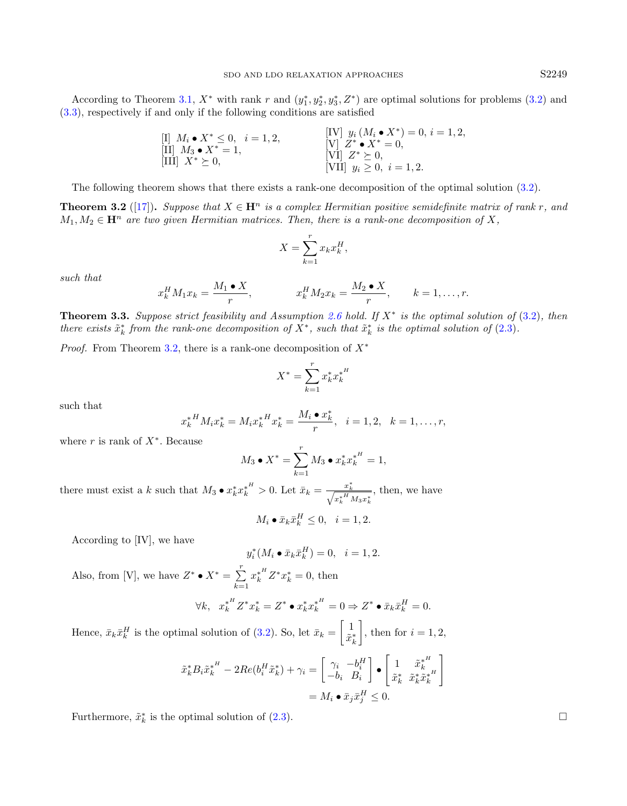According to Theorem [3.1,](#page-6-7)  $X^*$  with rank r and  $(y_1^*, y_2^*, y_3^*, Z^*)$  are optimal solutions for problems [\(3.2\)](#page-6-4) and [\(3.3\)](#page-6-5), respectively if and only if the following conditions are satisfied

$$
\begin{array}{ll}\n\text{[I]} & M_i \bullet X^* \leq 0, \quad i = 1, 2, \\
\text{[II]} & M_3 \bullet X^* = 1, \\
\text{[III]} & X^* \geq 0, \\
\text{[III]} & X^* \geq 0, \\
\text{[III]} & X^* \geq 0, \\
\text{[VII]} & y_i \geq 0, \quad i = 1, 2.\n\end{array}
$$

The following theorem shows that there exists a rank-one decomposition of the optimal solution [\(3.2\)](#page-6-4).

<span id="page-8-0"></span>**Theorem 3.2** ([\[17\]](#page-17-24)). Suppose that  $X \in \mathbf{H}^n$  is a complex Hermitian positive semidefinite matrix of rank r, and  $M_1, M_2 \in \mathbf{H}^n$  are two given Hermitian matrices. Then, there is a rank-one decomposition of X,

$$
X = \sum_{k=1}^{r} x_k x_k^H,
$$

such that

$$
x_k^H M_1 x_k = \frac{M_1 \bullet X}{r}, \qquad x_k^H M_2 x_k = \frac{M_2 \bullet X}{r}, \qquad k = 1, \dots, r.
$$

<span id="page-8-1"></span>**Theorem 3.3.** Suppose strict feasibility and Assumption [2.6](#page-6-6) hold. If  $X^*$  is the optimal solution of  $(3.2)$  $(3.2)$ , then there exists  $\tilde{x}_k^*$  from the rank-one decomposition of  $X^*$ , such that  $\tilde{x}_k^*$  is the optimal solution of (2.[3\)](#page-6-2).

*Proof.* From Theorem [3.2,](#page-8-0) there is a rank-one decomposition of  $X^*$ 

$$
X^* = \sum_{k=1}^r x_k^* {x_k^*}^H
$$

such that

$$
x_k^{*H} M_i x_k^* = M_i x_k^{*H} x_k^* = \frac{M_i \bullet x_k^*}{r}, \quad i = 1, 2, \quad k = 1, \dots, r,
$$

where  $r$  is rank of  $X^*$ . Because

$$
M_3 \bullet X^* = \sum_{k=1}^r M_3 \bullet x_k^* {x_k^*}^H = 1,
$$

there must exist a k such that  $M_3 \bullet x_k^* x_k^{*H} > 0$ . Let  $\bar{x}_k = \frac{x_k^*}{\sqrt{X_k^*}}$  $x_k^{*H} M_3 x_k^{*}$ , then, we have

$$
M_i \bullet \bar{x}_k \bar{x}_k^H \le 0, \quad i = 1, 2.
$$

According to [IV], we have

$$
y_i^*(M_i \bullet \bar{x}_k \bar{x}_k^H) = 0, \quad i = 1, 2.
$$

Also, from [V], we have  $Z^* \bullet X^* = \sum^r$  $k=1$  $x_k^{*H} Z^* x_k^* = 0$ , then

$$
\forall k, \quad x_k^{*H} Z^* x_k^* = Z^* \bullet x_k^* x_k^{*H} = 0 \Rightarrow Z^* \bullet \bar{x}_k \bar{x}_k^H = 0.
$$

Hence,  $\bar{x}_k \bar{x}_k^H$  is the optimal solution of [\(3.2\)](#page-6-4). So, let  $\bar{x}_k = \begin{bmatrix} 1 \\ \tilde{x}_k^H \end{bmatrix}$  $\tilde{x}_k^*$ , then for  $i = 1, 2$ ,

$$
\begin{aligned} \tilde{x}_k^* {B_i \tilde{x}_k^*}^H - 2 Re(b_i^H \tilde{x}_k^*) + \gamma_i &= \begin{bmatrix} \gamma_i & -b_i^H \\ -b_i & B_i \end{bmatrix} \bullet \begin{bmatrix} 1 & \tilde{x}_k^{*^H} \\ \tilde{x}_k^* & \tilde{x}_k^* \tilde{x}_k^{*^H} \end{bmatrix} \\ &= M_i \bullet \bar{x}_j \bar{x}_j^H \leq 0. \end{aligned}
$$

Furthermore,  $\tilde{x}_k^*$  is the optimal solution of [\(2.3\)](#page-6-2).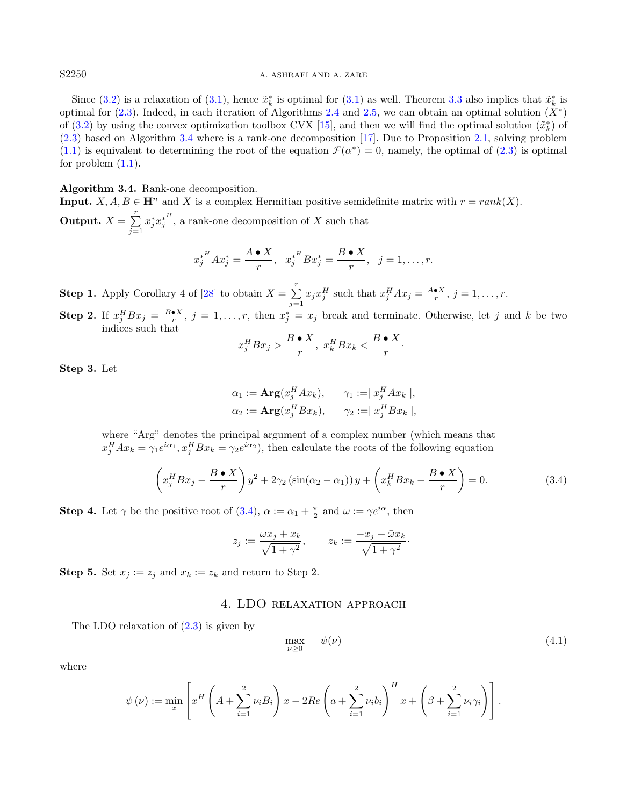Since [\(3.2\)](#page-6-4) is a relaxation of [\(3.1\)](#page-6-3), hence  $\tilde{x}_k^*$  is optimal for (3.1) as well. Theorem [3.3](#page-8-1) also implies that  $\tilde{x}_k^*$  is optimal for  $(2.3)$ . Indeed, in each iteration of Algorithms [2.4](#page-5-2) and [2.5,](#page-6-1) we can obtain an optimal solution  $(X^*)$ of [\(3.2\)](#page-6-4) by using the convex optimization toolbox CVX [\[15\]](#page-17-25), and then we will find the optimal solution  $(\tilde{x}_k^*)$  of [\(2.3\)](#page-6-2) based on Algorithm [3.4](#page-9-1) where is a rank-one decomposition [\[17\]](#page-17-24). Due to Proposition [2.1,](#page-5-3) solving problem [\(1.1\)](#page-0-0) is equivalent to determining the root of the equation  $\mathcal{F}(\alpha^*)=0$ , namely, the optimal of [\(2.3\)](#page-6-2) is optimal for problem  $(1.1)$ .

<span id="page-9-1"></span>Algorithm 3.4. Rank-one decomposition.

**Input.**  $X, A, B \in \mathbb{H}^n$  and X is a complex Hermitian positive semidefinite matrix with  $r = rank(X)$ . Output.  $X = \sum^r$  $j=1$  $x_j^* {x_j^*}^H$ , a rank-one decomposition of X such that

$$
x_j^{*^H}Ax_j^* = \frac{A \bullet X}{r}, \ \ x_j^{*^H}Bx_j^* = \frac{B \bullet X}{r}, \ \ j = 1, \dots, r.
$$

**Step 1.** Apply Corollary 4 of [\[28\]](#page-17-26) to obtain  $X = \sum_{r=1}^{r}$  $\sum_{j=1} x_j x_j^H$  such that  $x_j^H A x_j = \frac{A \cdot X}{r}$ ,  $j = 1, ..., r$ .

**Step 2.** If  $x_j^H B x_j = \frac{B \cdot X}{r}$ ,  $j = 1, \ldots, r$ , then  $x_j^* = x_j$  break and terminate. Otherwise, let j and k be two indices such that

<span id="page-9-2"></span>
$$
x_j^H B x_j > \frac{B \bullet X}{r}, \ x_k^H B x_k < \frac{B \bullet X}{r}.
$$

Step 3. Let

$$
\alpha_1 := \mathbf{Arg}(x_j^H A x_k), \qquad \gamma_1 := |x_j^H A x_k|,
$$
  

$$
\alpha_2 := \mathbf{Arg}(x_j^H B x_k), \qquad \gamma_2 := |x_j^H B x_k|,
$$

where "Arg" denotes the principal argument of a complex number (which means that  $x_j^H A x_k = \gamma_1 e^{i\alpha_1}, x_j^H B x_k = \gamma_2 e^{i\alpha_2}$ , then calculate the roots of the following equation

$$
\left(x_j^H B x_j - \frac{B \bullet X}{r}\right) y^2 + 2\gamma_2 \left(\sin(\alpha_2 - \alpha_1)\right) y + \left(x_k^H B x_k - \frac{B \bullet X}{r}\right) = 0. \tag{3.4}
$$

**Step 4.** Let  $\gamma$  be the positive root of [\(3.4\)](#page-9-2),  $\alpha := \alpha_1 + \frac{\pi}{2}$  and  $\omega := \gamma e^{i\alpha}$ , then

<span id="page-9-3"></span>
$$
z_j := \frac{\omega x_j + x_k}{\sqrt{1 + \gamma^2}}, \qquad z_k := \frac{-x_j + \bar{\omega} x_k}{\sqrt{1 + \gamma^2}}.
$$

<span id="page-9-0"></span>**Step 5.** Set  $x_j := z_j$  and  $x_k := z_k$  and return to Step 2.

## 4. LDO relaxation approach

The LDO relaxation of [\(2.3\)](#page-6-2) is given by

$$
\max_{\nu \ge 0} \quad \psi(\nu) \tag{4.1}
$$

where

$$
\psi(\nu) := \min_{x} \left[ x^H \left( A + \sum_{i=1}^2 \nu_i B_i \right) x - 2Re \left( a + \sum_{i=1}^2 \nu_i b_i \right)^H x + \left( \beta + \sum_{i=1}^2 \nu_i \gamma_i \right) \right].
$$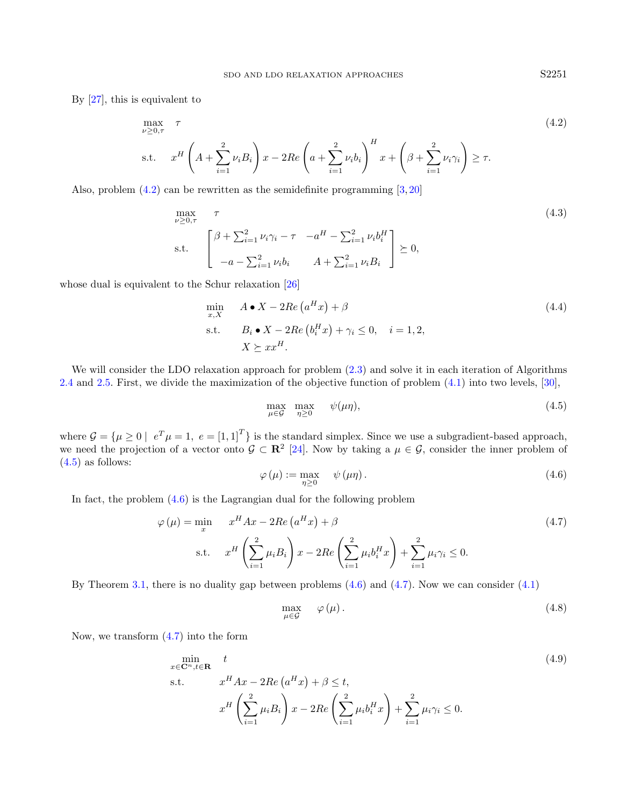By [\[27\]](#page-17-27), this is equivalent to

<span id="page-10-0"></span>
$$
\max_{\nu \geq 0,\tau} \tau
$$
\n
$$
\text{s.t.} \quad x^H \left( A + \sum_{i=1}^2 \nu_i B_i \right) x - 2Re \left( a + \sum_{i=1}^2 \nu_i b_i \right)^H x + \left( \beta + \sum_{i=1}^2 \nu_i \gamma_i \right) \geq \tau.
$$
\n
$$
(4.2)
$$

Also, problem [\(4.2\)](#page-10-0) can be rewritten as the semidefinite programming [\[3,](#page-17-28) [20\]](#page-17-29)

$$
\max_{\nu \ge 0, \tau} \tau
$$
\n
$$
\sum_{i=1}^{\infty} \nu_i \gamma_i - \tau \quad -a^H - \sum_{i=1}^2 \nu_i b_i^H
$$
\n
$$
\sum_{i=1}^{\infty} \nu_i b_i, \quad A + \sum_{i=1}^2 \nu_i b_i \quad \sum_{i=1}^2 \nu_i b_i \quad \sum_{i=1}^2 \nu_i b_i \quad \sum_{i=1}^2 \nu_i b_i \quad \sum_{i=1}^2 \nu_i b_i \quad \sum_{i=1}^2 \nu_i b_i \quad \sum_{i=1}^2 \nu_i b_i \quad \sum_{i=1}^2 \nu_i b_i \quad \sum_{i=1}^2 \nu_i b_i \quad \sum_{i=1}^2 \nu_i b_i \quad \sum_{i=1}^2 \nu_i b_i \quad \sum_{i=1}^2 \nu_i b_i \quad \sum_{i=1}^2 \nu_i b_i \quad \sum_{i=1}^2 \nu_i b_i \quad \sum_{i=1}^2 \nu_i b_i \quad \sum_{i=1}^2 \nu_i b_i \quad \sum_{i=1}^2 \nu_i b_i \quad \sum_{i=1}^2 \nu_i b_i \quad \sum_{i=1}^2 \nu_i b_i \quad \sum_{i=1}^2 \nu_i b_i \quad \sum_{i=1}^2 \nu_i b_i \quad \sum_{i=1}^2 \nu_i b_i \quad \sum_{i=1}^2 \nu_i b_i \quad \sum_{i=1}^2 \nu_i b_i \quad \sum_{i=1}^2 \nu_i b_i \quad \sum_{i=1}^2 \nu_i b_i \quad \sum_{i=1}^2 \nu_i b_i \quad \sum_{i=1}^2 \nu_i b_i \quad \sum_{i=1}^2 \nu_i b_i \quad \sum_{i=1}^2 \nu_i b_i \quad \sum_{i=1}^2 \nu_i b_i \quad \sum_{i=1}^2 \nu_i b_i \quad \sum_{i=1}^2 \nu_i b_i \quad \sum_{i=1}^2 \nu_i b_i \quad \sum_{i=1}^2 \nu_i b_i \quad \sum_{i=1}^2 \nu_i b_i \quad \sum_{i=1}^2 \nu_i b_i \quad \sum_{i=1}^2 \nu_i b_i \quad \sum_{i=1}^2 \nu_i b_i \quad \sum_{i=1}^2 \nu_i b_i \quad \sum_{i=1}^2 \nu_i b_i \quad \sum_{i=
$$

whose dual is equivalent to the Schur relaxation [\[26\]](#page-17-30)

<span id="page-10-2"></span>
$$
\min_{x,X} \quad A \bullet X - 2Re\left(a^{H}x\right) + \beta
$$
\n
$$
\text{s.t.} \quad B_{i} \bullet X - 2Re\left(b_{i}^{H}x\right) + \gamma_{i} \leq 0, \quad i = 1, 2,
$$
\n
$$
X \succeq xx^{H}.
$$
\n
$$
(4.4)
$$

We will consider the LDO relaxation approach for problem  $(2.3)$  and solve it in each iteration of Algorithms [2.4](#page-5-2) and [2.5.](#page-6-1) First, we divide the maximization of the objective function of problem [\(4.1\)](#page-9-3) into two levels, [\[30\]](#page-17-31),

$$
\max_{\mu \in \mathcal{G}} \max_{\eta \ge 0} \psi(\mu \eta), \tag{4.5}
$$

where  $\mathcal{G} = {\mu \geq 0 \mid e^T \mu = 1, e = {\lbrack 1,1 \rbrack}^T}$  is the standard simplex. Since we use a subgradient-based approach, we need the projection of a vector onto  $\mathcal{G} \subset \mathbb{R}^2$  [\[24\]](#page-17-32). Now by taking a  $\mu \in \mathcal{G}$ , consider the inner problem of  $(4.5)$  as follows:

$$
\varphi(\mu) := \max_{\eta \ge 0} \quad \psi(\mu \eta). \tag{4.6}
$$

In fact, the problem  $(4.6)$  is the Lagrangian dual for the following problem

<span id="page-10-3"></span>
$$
\varphi(\mu) = \min_{x} \qquad x^{H} A x - 2Re\left(a^{H} x\right) + \beta
$$
\n
$$
\text{s.t.} \qquad x^{H} \left(\sum_{i=1}^{2} \mu_{i} B_{i}\right) x - 2Re\left(\sum_{i=1}^{2} \mu_{i} b_{i}^{H} x\right) + \sum_{i=1}^{2} \mu_{i} \gamma_{i} \leq 0. \tag{4.7}
$$

By Theorem [3.1,](#page-6-7) there is no duality gap between problems [\(4.6\)](#page-10-2) and [\(4.7\)](#page-10-3). Now we can consider [\(4.1\)](#page-9-3)

$$
\max_{\mu \in \mathcal{G}} \quad \varphi(\mu). \tag{4.8}
$$

Now, we transform [\(4.7\)](#page-10-3) into the form

<span id="page-10-4"></span>
$$
\min_{x \in \mathbb{C}^n, t \in \mathbb{R}} \quad t
$$
\n
$$
\text{s.t.} \quad x^H A x - 2Re\left(a^H x\right) + \beta \le t,
$$
\n
$$
x^H \left(\sum_{i=1}^2 \mu_i B_i\right) x - 2Re\left(\sum_{i=1}^2 \mu_i b_i^H x\right) + \sum_{i=1}^2 \mu_i \gamma_i \le 0.
$$
\n
$$
(4.9)
$$

<span id="page-10-1"></span>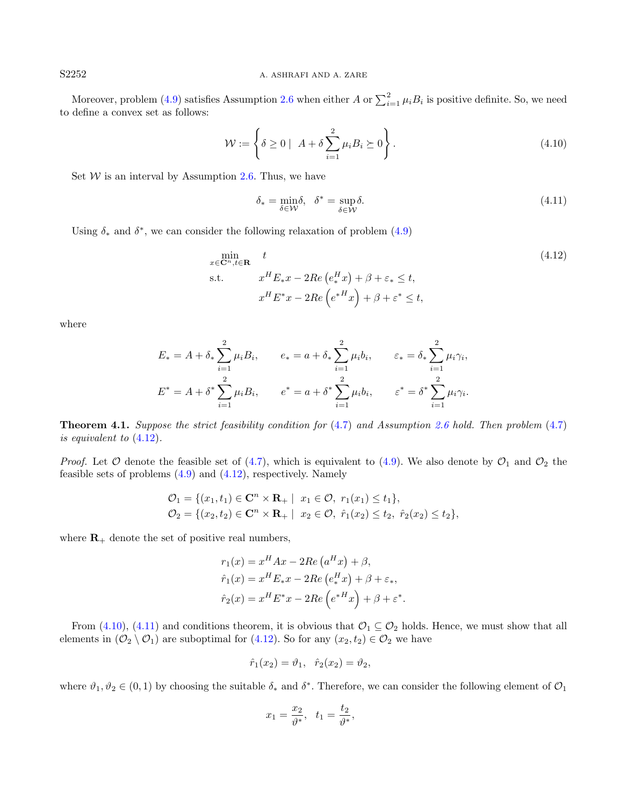Moreover, problem [\(4.9\)](#page-10-4) satisfies Assumption [2.6](#page-6-6) when either A or  $\sum_{i=1}^{2} \mu_i B_i$  is positive definite. So, we need to define a convex set as follows:

<span id="page-11-1"></span>
$$
\mathcal{W} := \left\{ \delta \ge 0 \mid A + \delta \sum_{i=1}^{2} \mu_i B_i \succeq 0 \right\}.
$$
\n(4.10)

Set  $W$  is an interval by Assumption [2.6.](#page-6-6) Thus, we have

<span id="page-11-2"></span>
$$
\delta_* = \min_{\delta \in \mathcal{W}} \delta, \quad \delta^* = \sup_{\delta \in \mathcal{W}} \delta. \tag{4.11}
$$

Using  $\delta_*$  and  $\delta^*$ , we can consider the following relaxation of problem [\(4.9\)](#page-10-4)

<span id="page-11-0"></span>
$$
\min_{x \in \mathbf{C}^n, t \in \mathbf{R}} t
$$
\n
$$
\text{s.t.} \quad x^H E_* x - 2Re\left(e_*^H x\right) + \beta + \varepsilon_* \le t,
$$
\n
$$
x^H E^* x - 2Re\left(e^{*H} x\right) + \beta + \varepsilon^* \le t,
$$
\n
$$
(4.12)
$$

where

<span id="page-11-3"></span>
$$
E_* = A + \delta_* \sum_{i=1}^2 \mu_i B_i, \qquad e_* = a + \delta_* \sum_{i=1}^2 \mu_i b_i, \qquad \varepsilon_* = \delta_* \sum_{i=1}^2 \mu_i \gamma_i,
$$
  

$$
E^* = A + \delta^* \sum_{i=1}^2 \mu_i B_i, \qquad e^* = a + \delta^* \sum_{i=1}^2 \mu_i b_i, \qquad \varepsilon^* = \delta^* \sum_{i=1}^2 \mu_i \gamma_i.
$$

<span id="page-11-4"></span>Theorem 4.1. Suppose the strict feasibility condition for [\(4](#page-10-3).7) and Assumption [2.6](#page-6-6) hold. Then problem (4.[7\)](#page-10-3) is equivalent to (4.[12\)](#page-11-0).

*Proof.* Let  $\mathcal O$  denote the feasible set of [\(4.7\)](#page-10-3), which is equivalent to [\(4.9\)](#page-10-4). We also denote by  $\mathcal O_1$  and  $\mathcal O_2$  the feasible sets of problems [\(4.9\)](#page-10-4) and [\(4.12\)](#page-11-0), respectively. Namely

$$
\mathcal{O}_1 = \{ (x_1, t_1) \in \mathbf{C}^n \times \mathbf{R}_+ \mid x_1 \in \mathcal{O}, r_1(x_1) \le t_1 \},
$$
  
\n
$$
\mathcal{O}_2 = \{ (x_2, t_2) \in \mathbf{C}^n \times \mathbf{R}_+ \mid x_2 \in \mathcal{O}, \hat{r}_1(x_2) \le t_2, \hat{r}_2(x_2) \le t_2 \},
$$

where  $\mathbf{R}_+$  denote the set of positive real numbers,

$$
r_1(x) = x^H A x - 2Re\left(a^H x\right) + \beta,
$$
  
\n
$$
\hat{r}_1(x) = x^H E_* x - 2Re\left(e_*^H x\right) + \beta + \varepsilon_*,
$$
  
\n
$$
\hat{r}_2(x) = x^H E^* x - 2Re\left(e^{*H} x\right) + \beta + \varepsilon^*.
$$

From [\(4.10\)](#page-11-1), [\(4.11\)](#page-11-2) and conditions theorem, it is obvious that  $\mathcal{O}_1 \subseteq \mathcal{O}_2$  holds. Hence, we must show that all elements in  $(\mathcal{O}_2 \setminus \mathcal{O}_1)$  are suboptimal for [\(4.12\)](#page-11-0). So for any  $(x_2, t_2) \in \mathcal{O}_2$  we have

$$
\hat{r}_1(x_2) = \vartheta_1, \quad \hat{r}_2(x_2) = \vartheta_2,
$$

where  $\vartheta_1, \vartheta_2 \in (0,1)$  by choosing the suitable  $\delta_*$  and  $\delta^*$ . Therefore, we can consider the following element of  $\mathcal{O}_1$ 

$$
x_1 = \frac{x_2}{\vartheta^*}, \ \ t_1 = \frac{t_2}{\vartheta^*},
$$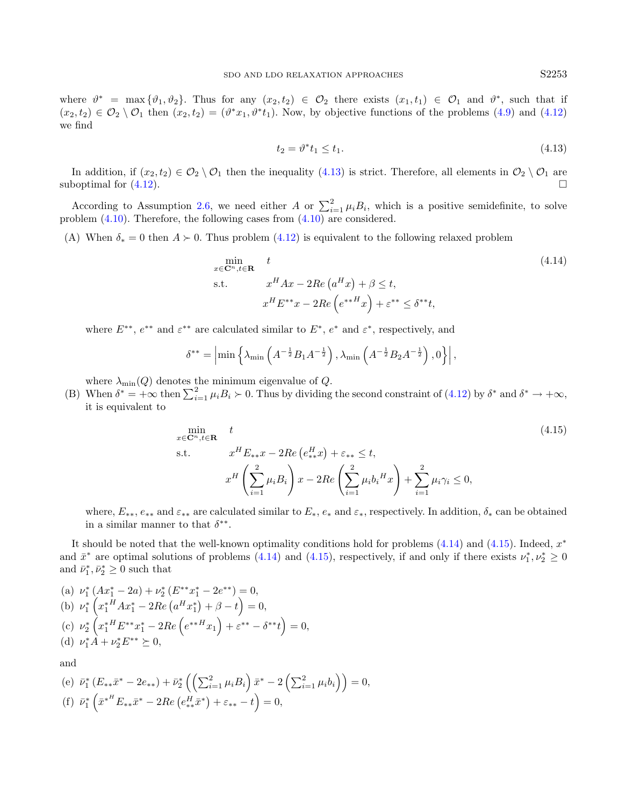where  $\vartheta^* = \max{\lbrace \vartheta_1, \vartheta_2 \rbrace}$ . Thus for any  $(x_2, t_2) \in \mathcal{O}_2$  there exists  $(x_1, t_1) \in \mathcal{O}_1$  and  $\vartheta^*$ , such that if  $(x_2,t_2) \in \mathcal{O}_2 \setminus \mathcal{O}_1$  then  $(x_2,t_2) = (\vartheta^* x_1, \vartheta^* t_1)$ . Now, by objective functions of the problems  $(4.9)$  and  $(4.12)$ we find

$$
t_2 = \vartheta^* t_1 \le t_1. \tag{4.13}
$$

In addition, if  $(x_2, t_2) \in \mathcal{O}_2 \setminus \mathcal{O}_1$  then the inequality  $(4.13)$  is strict. Therefore, all elements in  $\mathcal{O}_2 \setminus \mathcal{O}_1$  are suboptimal for  $(4.12)$ .

According to Assumption [2.6,](#page-6-6) we need either A or  $\sum_{i=1}^{2} \mu_i B_i$ , which is a positive semidefinite, to solve problem [\(4.10\)](#page-11-1). Therefore, the following cases from [\(4.10\)](#page-11-1) are considered.

(A) When  $\delta_* = 0$  then  $A \succ 0$ . Thus problem [\(4.12\)](#page-11-0) is equivalent to the following relaxed problem

<span id="page-12-0"></span>
$$
\min_{x \in \mathbb{C}^n, t \in \mathbb{R}} t
$$
\n
$$
\text{s.t.} \quad x^H A x - 2Re\left(a^H x\right) + \beta \le t,
$$
\n
$$
x^H E^{**} x - 2Re\left(e^{**H} x\right) + \varepsilon^{**} \le \delta^{**} t,
$$
\n
$$
(4.14)
$$

where  $E^{**}$ ,  $e^{**}$  and  $\varepsilon^{**}$  are calculated similar to  $E^*$ ,  $e^*$  and  $\varepsilon^*$ , respectively, and

$$
\delta^{**} = \left| \min \left\{ \lambda_{\min} \left( A^{-\frac{1}{2}} B_1 A^{-\frac{1}{2}} \right), \lambda_{\min} \left( A^{-\frac{1}{2}} B_2 A^{-\frac{1}{2}} \right), 0 \right\} \right|,
$$

where  $\lambda_{\min}(Q)$  denotes the minimum eigenvalue of Q.

(B) When  $\delta^* = +\infty$  then  $\sum_{i=1}^2 \mu_i B_i \succ 0$ . Thus by dividing the second constraint of [\(4.12\)](#page-11-0) by  $\delta^*$  and  $\delta^* \to +\infty$ , it is equivalent to

<span id="page-12-1"></span>
$$
\min_{x \in \mathbb{C}^n, t \in \mathbb{R}} t
$$
\n
$$
\text{s.t.} \quad x^H E_{**} x - 2Re\left(e_{**}^H x\right) + \varepsilon_{**} \le t,
$$
\n
$$
x^H \left(\sum_{i=1}^2 \mu_i B_i\right) x - 2Re\left(\sum_{i=1}^2 \mu_i b_i^H x\right) + \sum_{i=1}^2 \mu_i \gamma_i \le 0,
$$
\n
$$
(4.15)
$$

where,  $E_{**}$ ,  $e_{**}$  and  $\varepsilon_{**}$  are calculated similar to  $E_{*}$ ,  $e_{*}$  and  $\varepsilon_{*}$ , respectively. In addition,  $\delta_{*}$  can be obtained in a similar manner to that  $\delta^{**}$ .

It should be noted that the well-known optimality conditions hold for problems  $(4.14)$  and  $(4.15)$ . Indeed,  $x^*$ and  $\bar{x}^*$  are optimal solutions of problems [\(4.14\)](#page-12-0) and [\(4.15\)](#page-12-1), respectively, if and only if there exists  $\nu_1^*, \nu_2^* \geq 0$ and  $\bar{\nu}_1^*, \bar{\nu}_2^* \geq 0$  such that

(a) 
$$
\nu_1^* (Ax_1^* - 2a) + \nu_2^* (E^{**}x_1^* - 2e^{**}) = 0
$$
,  
\n(b)  $\nu_1^* (x_1^{*H}Ax_1^* - 2Re (a^Hx_1^*) + \beta - t) = 0$ ,  
\n(c)  $\nu_2^* (x_1^{*H}E^{**}x_1^* - 2Re (e^{**H}x_1) + \varepsilon^{**} - \delta^{**}t) = 0$ ,  
\n(d)  $\nu_1^* A + \nu_2^* E^{**} \succeq 0$ ,

and

(e) 
$$
\bar{\nu}_1^* (E_{**}\bar{x}^* - 2e_{**}) + \bar{\nu}_2^* ((\sum_{i=1}^2 \mu_i B_i) \bar{x}^* - 2 (\sum_{i=1}^2 \mu_i b_i)) = 0,
$$
  
(f)  $\bar{\nu}_1^* (\bar{x}^{*H} E_{**}\bar{x}^* - 2Re(e_{**}^H \bar{x}^*) + \varepsilon_{**} - t) = 0,$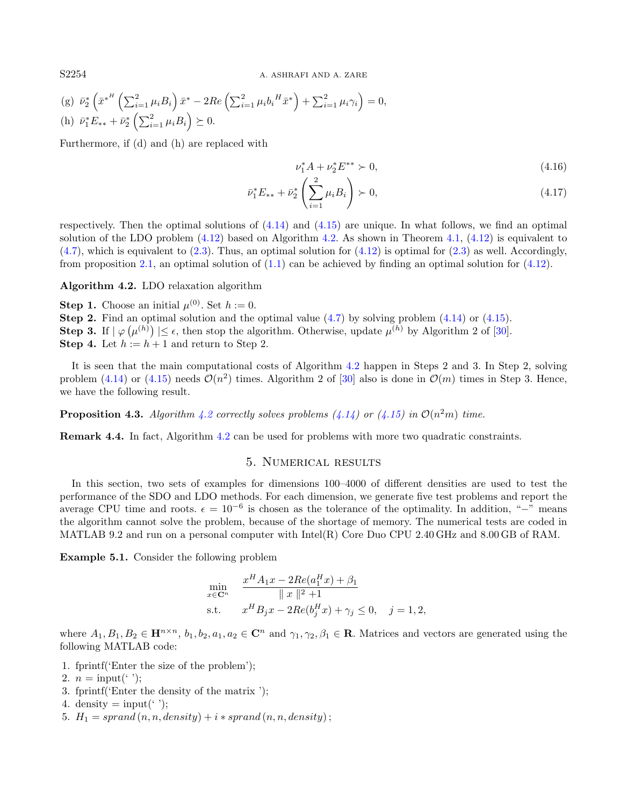S2254 A. ASHRAFI AND A. ZARE

(g) 
$$
\bar{\nu}_2^* \left( \bar{x}^{*^H} \left( \sum_{i=1}^2 \mu_i B_i \right) \bar{x}^* - 2Re \left( \sum_{i=1}^2 \mu_i b_i^H \bar{x}^* \right) + \sum_{i=1}^2 \mu_i \gamma_i \right) = 0,
$$
  
\n(h)  $\bar{\nu}_1^* E_{**} + \bar{\nu}_2^* \left( \sum_{i=1}^2 \mu_i B_i \right) \succeq 0.$ 

Furthermore, if (d) and (h) are replaced with

$$
\nu_1^* A + \nu_2^* E^{**} \succ 0,\tag{4.16}
$$

$$
\bar{\nu}_1^* E_{**} + \bar{\nu}_2^* \left( \sum_{i=1}^2 \mu_i B_i \right) \succ 0, \tag{4.17}
$$

respectively. Then the optimal solutions of  $(4.14)$  and  $(4.15)$  are unique. In what follows, we find an optimal solution of the LDO problem  $(4.12)$  based on Algorithm [4.2.](#page-13-1) As shown in Theorem [4.1,](#page-11-4)  $(4.12)$  is equivalent to  $(4.7)$ , which is equivalent to  $(2.3)$ . Thus, an optimal solution for  $(4.12)$  is optimal for  $(2.3)$  as well. Accordingly, from proposition [2.1,](#page-5-3) an optimal solution of  $(1.1)$  can be achieved by finding an optimal solution for  $(4.12)$ .

<span id="page-13-1"></span>Algorithm 4.2. LDO relaxation algorithm

**Step 1.** Choose an initial  $\mu^{(0)}$ . Set  $h := 0$ .

Step 2. Find an optimal solution and the optimal value [\(4.7\)](#page-10-3) by solving problem [\(4.14\)](#page-12-0) or [\(4.15\)](#page-12-1). **Step 3.** If  $|\varphi(\mu^{(h)})| \leq \epsilon$ , then stop the algorithm. Otherwise, update  $\mu^{(h)}$  by Algorithm 2 of [\[30\]](#page-17-31). **Step 4.** Let  $h := h + 1$  and return to Step 2.

It is seen that the main computational costs of Algorithm [4.2](#page-13-1) happen in Steps 2 and 3. In Step 2, solving problem [\(4.14\)](#page-12-0) or [\(4.15\)](#page-12-1) needs  $\mathcal{O}(n^2)$  times. Algorithm 2 of [\[30\]](#page-17-31) also is done in  $\mathcal{O}(m)$  times in Step 3. Hence, we have the following result.

**Proposition 4.3.** Algorithm [4.2](#page-13-1) correctly solves problems [\(4.14\)](#page-12-0) or [\(4.15\)](#page-12-1) in  $\mathcal{O}(n^2m)$  time.

<span id="page-13-0"></span>Remark 4.4. In fact, Algorithm [4.2](#page-13-1) can be used for problems with more two quadratic constraints.

## 5. Numerical results

In this section, two sets of examples for dimensions 100–4000 of different densities are used to test the performance of the SDO and LDO methods. For each dimension, we generate five test problems and report the average CPU time and roots.  $\epsilon = 10^{-6}$  is chosen as the tolerance of the optimality. In addition, "-" means the algorithm cannot solve the problem, because of the shortage of memory. The numerical tests are coded in MATLAB 9.2 and run on a personal computer with Intel(R) Core Duo CPU 2.40 GHz and 8.00 GB of RAM.

<span id="page-13-2"></span>Example 5.1. Consider the following problem

$$
\min_{x \in \mathbf{C}^n} \quad \frac{x^H A_1 x - 2Re(a_1^H x) + \beta_1}{\|x\|^2 + 1}
$$
\ns.t.

\n
$$
x^H B_j x - 2Re(b_j^H x) + \gamma_j \leq 0, \quad j = 1, 2,
$$

where  $A_1, B_1, B_2 \in \mathbf{H}^{n \times n}$ ,  $b_1, b_2, a_1, a_2 \in \mathbf{C}^n$  and  $\gamma_1, \gamma_2, \beta_1 \in \mathbf{R}$ . Matrices and vectors are generated using the following MATLAB code:

- 1. fprintf('Enter the size of the problem');
- 2.  $n = \text{input}('')$ ;
- 3. fprintf('Enter the density of the matrix ');
- 4. density  $=$  input( $\prime$ );
- 5.  $H_1 = sprand(n, n, density) + i * sprand(n, n, density);$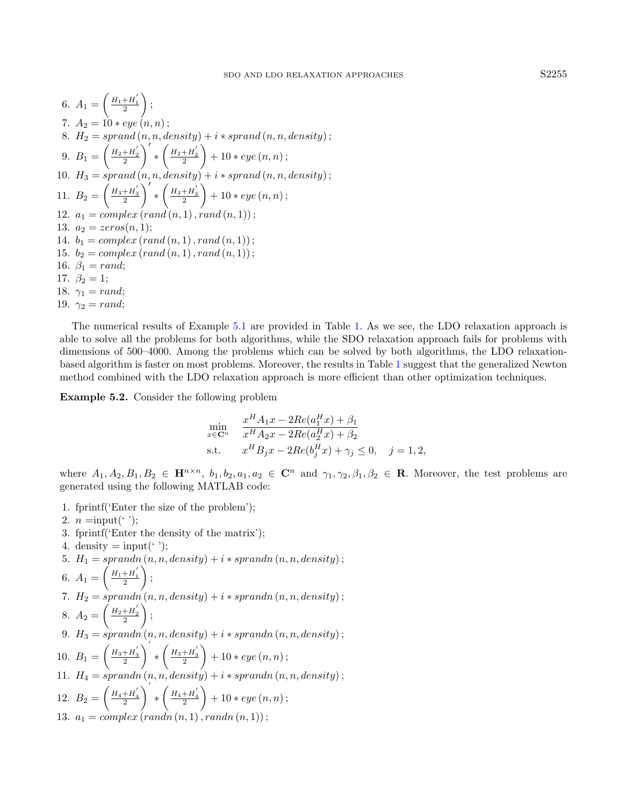6. 
$$
A_1 = \left(\frac{H_1 + H_1'}{2}\right);
$$
  
\n7.  $A_2 = 10 * eye(n, n);$   
\n8.  $H_2 = sprand(n, n, density) + i * sprand(n, n, density);$   
\n9.  $B_1 = \left(\frac{H_2 + H_2'}{2}\right)' * \left(\frac{H_2 + H_2'}{2}\right) + 10 * eye(n, n);$   
\n10.  $H_3 = sprand(n, n, density) + i * sprand(n, n, density);$   
\n11.  $B_2 = \left(\frac{H_3 + H_3'}{2}\right)' * \left(\frac{H_3 + H_3'}{2}\right) + 10 * eye(n, n);$   
\n12.  $a_1 = complex\left(rand(n, 1), rand(n, 1)\right);$   
\n13.  $a_2 = zeros(n, 1);$   
\n14.  $b_1 = complex\left(rand(n, 1), rand(n, 1)\right);$   
\n15.  $b_2 = complex\left(rand(n, 1), rand(n, 1)\right);$   
\n16.  $\beta_1 = rand;$   
\n17.  $\beta_2 = 1;$   
\n18.  $\gamma_1 = rand;$   
\n19.  $\gamma_2 = rand;$ 

The numerical results of Example [5.1](#page-13-2) are provided in Table [1.](#page-15-0) As we see, the LDO relaxation approach is able to solve all the problems for both algorithms, while the SDO relaxation approach fails for problems with dimensions of 500–4000. Among the problems which can be solved by both algorithms, the LDO relaxationbased algorithm is faster on most problems. Moreover, the results in Table [1](#page-15-0) suggest that the generalized Newton method combined with the LDO relaxation approach is more efficient than other optimization techniques.

Example 5.2. Consider the following problem

$$
\min_{x \in \mathbb{C}^n} \quad \frac{x^H A_1 x - 2Re(a_1^H x) + \beta_1}{x^H A_2 x - 2Re(a_2^H x) + \beta_2}
$$
\n
$$
\text{s.t.} \quad x^H B_j x - 2Re(b_j^H x) + \gamma_j \le 0, \quad j = 1, 2,
$$

where  $A_1, A_2, B_1, B_2 \in \mathbf{H}^{n \times n}$ ,  $b_1, b_2, a_1, a_2 \in \mathbf{C}^n$  and  $\gamma_1, \gamma_2, \beta_1, \beta_2 \in \mathbf{R}$ . Moreover, the test problems are generated using the following MATLAB code:

- 1. fprintf('Enter the size of the problem');
- 2.  $n = input('$  );
- 3. fprintf('Enter the density of the matrix');
- 4. density  $=$  input( $\langle \cdot \rangle$ ;
- 5.  $H_1 = \text{sprand}_n(n, n, \text{density}) + i * \text{sprand}_n(n, n, \text{density})$ ;

6. 
$$
A_1 = \left(\frac{H_1 + H_1'}{2}\right);
$$

7.  $H_2 = sprandn(n, n, density) + i * sprandn(n, n, density);$ 

8. 
$$
A_2 = \left(\frac{H_2 + H_2'}{2}\right);
$$

9.  $H_3 = sprandn(n, n, density) + i * sprandn(n, n, density);$ 10.  $B_1 = \left(\frac{H_3 + H_3'}{2}\right)$  $\bigg)^{'} * \bigg(\frac{H_3 + H_3^{'}}{2}$  $+ 10 * eye(n, n)$ ; 11.  $H_4 = \operatorname{sprandn}(n, n, \operatorname{density}) + i * \operatorname{sprandn}(n, n, \operatorname{density})$ ; 12.  $B_2 = \left(\frac{H_4 + H_4}{2}\right)$  $\bigg)^{'} * \bigg(\frac{H_4 + H_4^{'}}{2}$  $+ 10 * eye(n, n)$ ; 13.  $a_1 = complex (randn (n, 1), randn (n, 1))$ ;

<span id="page-14-0"></span>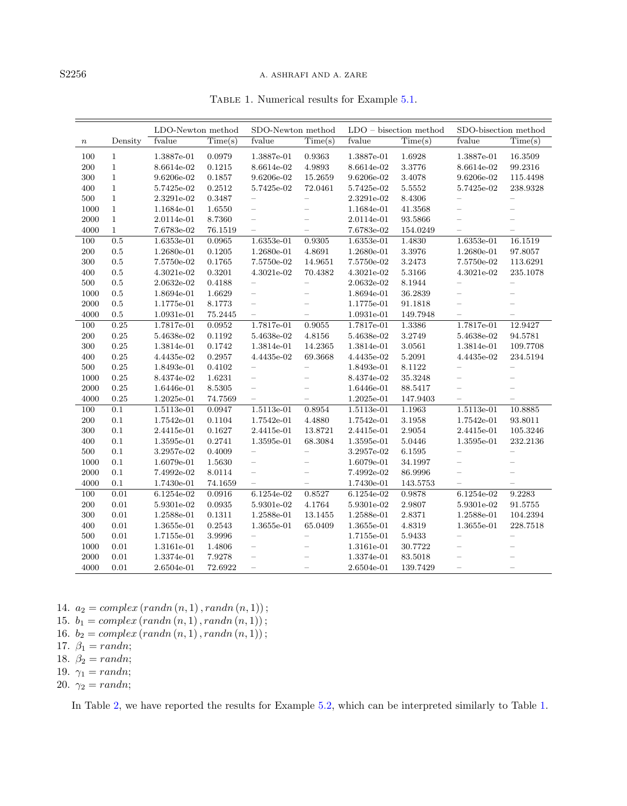### S2256 A. ASHRAFI AND A. ZARE

|        |                  |              | LDO-Newton method<br>SDO-Newton method |                                | $LDO - bisection$ method    |            | SDO-bisection method |                          |                             |
|--------|------------------|--------------|----------------------------------------|--------------------------------|-----------------------------|------------|----------------------|--------------------------|-----------------------------|
| $\, n$ | Density          | fvalue       | Time(s)                                | fvalue                         | $\overline{\text{Time}}(s)$ | fvalue     | Time(s)              | fvalue                   | $\overline{\text{Time}}(s)$ |
| 100    | $\mathbf{1}$     | 1.3887e-01   | 0.0979                                 | 1.3887e-01                     | 0.9363                      | 1.3887e-01 | 1.6928               | 1.3887e-01               | 16.3509                     |
| 200    | $\mathbf{1}$     | 8.6614e-02   | 0.1215                                 | 8.6614e-02                     | 4.9893                      | 8.6614e-02 | 3.3776               | 8.6614e-02               | 99.2316                     |
| 300    | $\mathbf{1}$     | 9.6206e-02   | 0.1857                                 | 9.6206e-02                     | 15.2659                     | 9.6206e-02 | 3.4078               | 9.6206e-02               | 115.4498                    |
| 400    | $\mathbf{1}$     | 5.7425e-02   | 0.2512                                 | 5.7425e-02                     | 72.0461                     | 5.7425e-02 | 5.5552               | 5.7425e-02               | 238.9328                    |
| 500    | $\mathbf{1}$     | $2.3291e-02$ | 0.3487                                 | $\equiv$                       | $\equiv$                    | 2.3291e-02 | 8.4306               |                          | $\qquad \qquad -$           |
| 1000   | $\mathbf{1}$     | 1.1684e-01   | 1.6550                                 | $\equiv$                       |                             | 1.1684e-01 | 41.3568              |                          |                             |
| 2000   | $\mathbf{1}$     | 2.0114e-01   | 8.7360                                 | $\qquad \qquad -$              | $\overline{\phantom{0}}$    | 2.0114e-01 | 93.5866              | $\overline{\phantom{0}}$ |                             |
| 4000   | $\mathbf{1}$     | 7.6783e-02   | 76.1519                                | $\overline{\phantom{0}}$       | $\overline{\phantom{0}}$    | 7.6783e-02 | 154.0249             |                          |                             |
| 100    | $0.5\,$          | 1.6353e-01   | 0.0965                                 | 1.6353e-01                     | 0.9305                      | 1.6353e-01 | 1.4830               | 1.6353e-01               | 16.1519                     |
| 200    | 0.5              | 1.2680e-01   | 0.1205                                 | 1.2680e-01                     | 4.8691                      | 1.2680e-01 | 3.3976               | 1.2680e-01               | 97.8057                     |
| 300    | 0.5              | 7.5750e-02   | 0.1765                                 | $7.5750 {\text{e}\hbox{-}} 02$ | 14.9651                     | 7.5750e-02 | 3.2473               | 7.5750e-02               | 113.6291                    |
| 400    | $0.5\,$          | 4.3021e-02   | 0.3201                                 | 4.3021e-02                     | 70.4382                     | 4.3021e-02 | 5.3166               | 4.3021e-02               | 235.1078                    |
| 500    | $0.5\,$          | 2.0632e-02   | 0.4188                                 | $\equiv$                       | $-$                         | 2.0632e-02 | 8.1944               |                          | $\qquad \qquad -$           |
| 1000   | 0.5              | 1.8694e-01   | 1.6629                                 | $\equiv$                       | $\overline{\phantom{0}}$    | 1.8694e-01 | 36.2839              | $\overline{\phantom{0}}$ | $\overline{\phantom{0}}$    |
| 2000   | 0.5              | 1.1775e-01   | 8.1773                                 | $\qquad \qquad -$              |                             | 1.1775e-01 | 91.1818              | $\overline{\phantom{0}}$ |                             |
| 4000   | 0.5              | 1.0931e-01   | 75.2445                                | $\qquad \qquad -$              | $\overline{\phantom{0}}$    | 1.0931e-01 | 149.7948             |                          | $\overline{\phantom{0}}$    |
| 100    | 0.25             | 1.7817e-01   | 0.0952                                 | 1.7817e-01                     | 0.9055                      | 1.7817e-01 | 1.3386               | 1.7817e-01               | 12.9427                     |
| 200    | 0.25             | 5.4638e-02   | 0.1192                                 | 5.4638e-02                     | 4.8156                      | 5.4638e-02 | 3.2749               | 5.4638e-02               | 94.5781                     |
| 300    | 0.25             | 1.3814e-01   | 0.1742                                 | 1.3814e-01                     | 14.2365                     | 1.3814e-01 | 3.0561               | 1.3814e-01               | 109.7708                    |
| 400    | $\rm 0.25$       | 4.4435e-02   | 0.2957                                 | 4.4435e-02                     | 69.3668                     | 4.4435e-02 | 5.2091               | 4.4435e-02               | $234.5194\,$                |
| 500    | 0.25             | 1.8493e-01   | 0.4102                                 | $\equiv$                       | $\equiv$                    | 1.8493e-01 | 8.1122               |                          | $\equiv$                    |
| 1000   | 0.25             | 8.4374e-02   | 1.6231                                 | $=$                            |                             | 8.4374e-02 | 35.3248              |                          |                             |
| 2000   | 0.25             | 1.6446e-01   | 8.5305                                 | $\equiv$                       | $\overline{\phantom{0}}$    | 1.6446e-01 | 88.5417              | $\overline{\phantom{0}}$ | $\overline{\phantom{0}}$    |
| 4000   | 0.25             | 1.2025e-01   | 74.7569                                | $\equiv$                       | $\equiv$                    | 1.2025e-01 | 147.9403             | $\equiv$                 | $\equiv$                    |
| 100    | $\overline{0.1}$ | 1.5113e-01   | 0.0947                                 | $1.5113e-01$                   | 0.8954                      | 1.5113e-01 | 1.1963               | $1.5113e-01$             | 10.8885                     |
| 200    | 0.1              | 1.7542e-01   | 0.1104                                 | 1.7542e-01                     | 4.4880                      | 1.7542e-01 | 3.1958               | 1.7542e-01               | 93.8011                     |
| 300    | 0.1              | 2.4415e-01   | 0.1627                                 | 2.4415e-01                     | 13.8721                     | 2.4415e-01 | 2.9054               | 2.4415e-01               | 105.3246                    |
| 400    | 0.1              | 1.3595e-01   | 0.2741                                 | 1.3595e-01                     | 68.3084                     | 1.3595e-01 | 5.0446               | 1.3595e-01               | 232.2136                    |
| 500    | 0.1              | 3.2957e-02   | 0.4009                                 | $\equiv$                       | $\overline{\phantom{0}}$    | 3.2957e-02 | 6.1595               |                          | $\overline{\phantom{0}}$    |
| 1000   | 0.1              | 1.6079e-01   | 1.5630                                 | $\equiv$                       | $\overline{\phantom{0}}$    | 1.6079e-01 | 34.1997              |                          |                             |
| 2000   | 0.1              | 7.4992e-02   | 8.0114                                 | $\qquad \qquad -$              | $\overline{\phantom{0}}$    | 7.4992e-02 | 86.9996              | $\qquad \qquad -$        | $\overline{\phantom{0}}$    |
| 4000   | 0.1              | 1.7430e-01   | 74.1659                                | $\qquad \qquad -$              | $\overline{\phantom{0}}$    | 1.7430e-01 | 143.5753             | $\overline{\phantom{0}}$ | $\overline{\phantom{0}}$    |
| 100    | 0.01             | 6.1254e-02   | 0.0916                                 | 6.1254e-02                     | 0.8527                      | 6.1254e-02 | 0.9878               | 6.1254e-02               | 9.2283                      |
| 200    | 0.01             | 5.9301e-02   | 0.0935                                 | 5.9301e-02                     | 4.1764                      | 5.9301e-02 | 2.9807               | 5.9301e-02               | 91.5755                     |
| 300    | 0.01             | 1.2588e-01   | 0.1311                                 | 1.2588e-01                     | 13.1455                     | 1.2588e-01 | 2.8371               | 1.2588e-01               | 104.2394                    |
| 400    | 0.01             | 1.3655e-01   | 0.2543                                 | 1.3655e-01                     | 65.0409                     | 1.3655e-01 | 4.8319               | 1.3655e-01               | 228.7518                    |
| 500    | 0.01             | $1.7155e-01$ | 3.9996                                 | $\equiv$                       | $\equiv$                    | 1.7155e-01 | 5.9433               |                          | $\qquad \qquad -$           |
| 1000   | 0.01             | 1.3161e-01   | 1.4806                                 | $\qquad \qquad -$              | $\equiv$                    | 1.3161e-01 | 30.7722              |                          |                             |
| 2000   | 0.01             | 1.3374e-01   | 7.9278                                 | $\equiv$                       |                             | 1.3374e-01 | 83.5018              |                          |                             |
| 4000   | 0.01             | 2.6504e-01   | 72.6922                                | $\overline{\phantom{0}}$       |                             | 2.6504e-01 | 139.7429             |                          |                             |

<span id="page-15-0"></span>Table 1. Numerical results for Example [5.1.](#page-13-2)

14.  $a_2 = complex (randn (n, 1), randn (n, 1));$ 

15.  $b_1 = complex (randn (n, 1), randn (n, 1));$ 

- 16.  $b_2 = complex (randn (n, 1), randn (n, 1));$
- 17.  $\beta_1 = randn;$

- 18.  $\beta_2 = randn;$
- 19.  $\gamma_1 = randn;$
- 20.  $\gamma_2 = randn;$

In Table [2,](#page-16-1) we have reported the results for Example [5.2,](#page-14-0) which can be interpreted similarly to Table [1.](#page-15-0)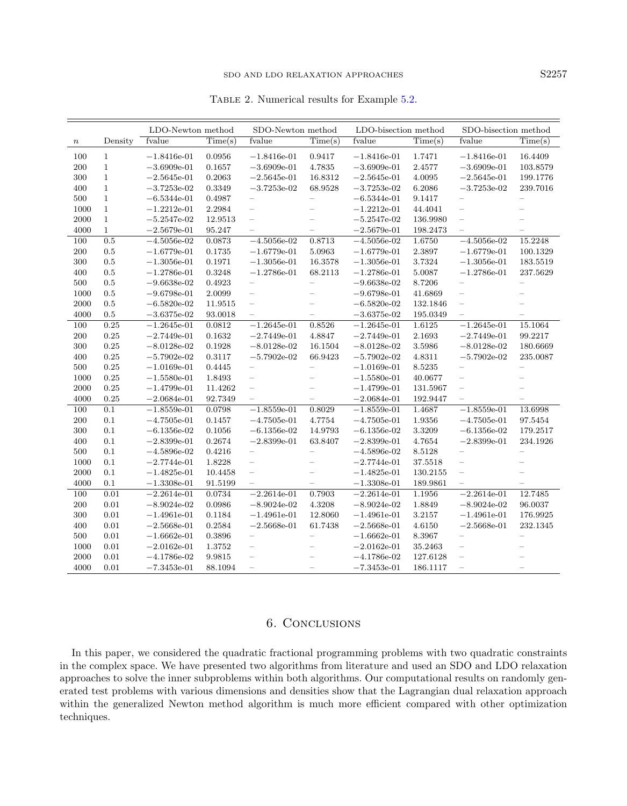### <span id="page-16-1"></span>SDO AND LDO RELAXATION APPROACHES S2257

Table 2. Numerical results for Example [5.2.](#page-14-0)

|                  |              | LDO-Newton method |                             | SDO-Newton method        |                          | LDO-bisection method |                             | SDO-bisection method     |                             |
|------------------|--------------|-------------------|-----------------------------|--------------------------|--------------------------|----------------------|-----------------------------|--------------------------|-----------------------------|
| $\boldsymbol{n}$ | Density      | fvalue            | $\overline{\text{Time}}(s)$ | fvalue                   | Time(s)                  | fyalue               | $\overline{\text{Time}}(s)$ | fvalue                   | $\overline{\text{Time}}(s)$ |
| 100              | $\mathbf{1}$ | $-1.8416e-01$     | 0.0956                      | $-1.8416e-01$            | 0.9417                   | $-1.8416e-01$        | 1.7471                      | $-1.8416e-01$            | 16.4409                     |
| 200              | $\,1$        | $-3.6909e-01$     | 0.1657                      | $-3.6909e-01$            | 4.7835                   | $-3.6909e-01$        | 2.4577                      | $-3.6909e-01$            | 103.8579                    |
| 300              | $\,1$        | $-2.5645e-01$     | 0.2063                      | $-2.5645e-01$            | 16.8312                  | $-2.5645e-01$        | 4.0095                      | $-2.5645e-01$            | 199.1776                    |
| 400              | $\,1$        | $-3.7253e-02$     | 0.3349                      | $-3.7253e-02$            | 68.9528                  | $-3.7253e-02$        | 6.2086                      | $-3.7253e-02$            | 239.7016                    |
| 500              | $\,1$        | $-6.5344e-01$     | 0.4987                      |                          | $\equiv$                 | $-6.5344e-01$        | 9.1417                      |                          | $\qquad \qquad -$           |
| 1000             | $\mathbf{1}$ | $-1.2212e-01$     | 2.2984                      | $\equiv$                 | $-$                      | $-1.2212e-01$        | 44.4041                     | $\equiv$                 | $\equiv$                    |
| 2000             | $\mathbf{1}$ | $-5.2547e-02$     | 12.9513                     | $\equiv$                 | $\overline{\phantom{0}}$ | $-5.2547e-02$        | 136.9980                    | $\qquad \qquad -$        |                             |
| 4000             | $\mathbf{1}$ | $-2.5679e-01$     | 95.247                      |                          | $\overline{\phantom{0}}$ | $-2.5679e-01$        | 198.2473                    |                          |                             |
| 100              | 0.5          | $-4.5056e-02$     | 0.0873                      | $-4.5056e-02$            | 0.8713                   | $-4.5056e-02$        | 1.6750                      | $-4.5056e-02$            | 15.2248                     |
| 200              | 0.5          | $-1.6779e-01$     | 0.1735                      | $-1.6779e-01$            | 5.0963                   | $-1.6779e-01$        | 2.3897                      | $-1.6779e-01$            | 100.1329                    |
| 300              | 0.5          | $-1.3056e-01$     | 0.1971                      | $-1.3056e-01$            | 16.3578                  | $-1.3056e-01$        | 3.7324                      | $-1.3056e-01$            | 183.5519                    |
| 400              | 0.5          | $-1.2786e-01$     | 0.3248                      | $-1.2786e-01$            | 68.2113                  | $-1.2786e-01$        | 5.0087                      | $-1.2786e-01$            | 237.5629                    |
| 500              | 0.5          | $-9.6638e-02$     | 0.4923                      | $\overline{\phantom{0}}$ | $\equiv$                 | $-9.6638e-02$        | 8.7206                      |                          | $\equiv$                    |
| 1000             | 0.5          | $-9.6798e-01$     | 2.0099                      | $\equiv$                 | $\overline{\phantom{0}}$ | $-9.6798e-01$        | 41.6869                     | $\equiv$                 | $\overline{\phantom{0}}$    |
| 2000             | 0.5          | $-6.5820e-02$     | 11.9515                     | $\qquad \qquad -$        | $\overline{\phantom{0}}$ | $-6.5820e-02$        | 132.1846                    | $\frac{1}{2}$            |                             |
| 4000             | 0.5          | $-3.6375e-02$     | 93.0018                     | $\overline{\phantom{0}}$ | $\equiv$                 | $-3.6375e-02$        | 195.0349                    |                          | $\overline{\phantom{0}}$    |
| 100              | 0.25         | $-1.2645e-01$     | 0.0812                      | $-1.2645e-01$            | 0.8526                   | $-1.2645e-01$        | 1.6125                      | $-1.2645e-01$            | 15.1064                     |
| 200              | 0.25         | $-2.7449e-01$     | 0.1632                      | $-2.7449e-01$            | 4.8847                   | $-2.7449e-01$        | 2.1693                      | $-2.7449e-01$            | 99.2217                     |
| 300              | 0.25         | $-8.0128e-02$     | 0.1928                      | $-8.0128 - 02$           | 16.1504                  | $-8.0128e-02$        | 3.5986                      | $-8.0128 - 02$           | 180.6669                    |
| 400              | 0.25         | $-5.7902e-02$     | 0.3117                      | $-5.7902e-02$            | 66.9423                  | $-5.7902e-02$        | 4.8311                      | $-5.7902$ e-02           | 235.0087                    |
| 500              | 0.25         | $-1.0169e-01$     | 0.4445                      | $\overline{\phantom{0}}$ | $\equiv$                 | $-1.0169e-01$        | 8.5235                      |                          |                             |
| 1000             | 0.25         | $-1.5580e-01$     | 1.8493                      | $\qquad \qquad -$        | $\overline{\phantom{0}}$ | $-1.5580e-01$        | 40.0677                     | $\overline{\phantom{m}}$ | $\overline{\phantom{0}}$    |
| 2000             | 0.25         | $-1.4799e-01$     | 11.4262                     | $\overline{\phantom{m}}$ | $\overline{\phantom{0}}$ | $-1.4799e-01$        | 131.5967                    | $\overline{\phantom{m}}$ | $\overline{\phantom{0}}$    |
| 4000             | 0.25         | $-2.0684e-01$     | 92.7349                     | $\equiv$                 | $\qquad \qquad -$        | $-2.0684e-01$        | 192.9447                    |                          | $\overline{\phantom{0}}$    |
| 100              | 0.1          | $-1.8559e-01$     | 0.0798                      | $-1.8559e-01$            | 0.8029                   | $-1.8559e-01$        | 1.4687                      | $-1.8559e-01$            | 13.6998                     |
| 200              | 0.1          | $-4.7505e-01$     | 0.1457                      | $-4.7505e-01$            | 4.7754                   | $-4.7505e-01$        | 1.9356                      | $-4.7505e-01$            | 97.5454                     |
| 300              | 0.1          | $-6.1356e-02$     | 0.1056                      | $-6.1356e-02$            | 14.9793                  | $-6.1356e-02$        | 3.3209                      | $-6.1356e-02$            | 179.2517                    |
| 400              | 0.1          | $-2.8399e-01$     | 0.2674                      | $-2.8399e-01$            | 63.8407                  | $-2.8399e-01$        | 4.7654                      | $-2.8399e-01$            | 234.1926                    |
| 500              | 0.1          | $-4.5896e-02$     | 0.4216                      | $\qquad \qquad -$        | $\qquad \qquad -$        | $-4.5896e-02$        | 8.5128                      | $\overline{\phantom{m}}$ | $\qquad \qquad -$           |
| 1000             | 0.1          | $-2.7744e-01$     | 1.8228                      | $\overline{\phantom{0}}$ | $\equiv$                 | $-2.7744e-01$        | 37.5518                     | $\qquad \qquad -$        | $\overline{\phantom{0}}$    |
| 2000             | 0.1          | $-1.4825e-01$     | 10.4458                     | $\overline{\phantom{m}}$ | $\equiv$                 | $-1.4825e-01$        | 130.2155                    | $\overline{\phantom{0}}$ | $\overline{\phantom{0}}$    |
| 4000             | 0.1          | $-1.3308e-01$     | 91.5199                     | $\equiv$                 | $\equiv$                 | $-1.3308e-01$        | 189.9861                    |                          |                             |
| 100              | 0.01         | $-2.2614e-01$     | 0.0734                      | $-2.2614e-01$            | 0.7903                   | $-2.2614e-01$        | 1.1956                      | $-2.2614e-01$            | 12.7485                     |
| 200              | 0.01         | $-8.9024e-02$     | 0.0986                      | $-8.9024e-02$            | 4.3208                   | $-8.9024e-02$        | 1.8849                      | $-8.9024e-02$            | 96.0037                     |
| 300              | 0.01         | $-1.4961e-01$     | 0.1184                      | $-1.4961e-01$            | 12.8060                  | $-1.4961e-01$        | 3.2157                      | $-1.4961e-01$            | 176.9925                    |
| 400              | 0.01         | $-2.5668e-01$     | 0.2584                      | $-2.5668e-01$            | 61.7438                  | $-2.5668e-01$        | 4.6150                      | $-2.5668e-01$            | 232.1345                    |
| 500              | 0.01         | $-1.6662e-01$     | 0.3896                      | $\qquad \qquad -$        | $\qquad \qquad -$        | $-1.6662e-01$        | 8.3967                      | $\qquad \qquad -$        | $\overline{\phantom{0}}$    |
| 1000             | 0.01         | $-2.0162e-01$     | 1.3752                      | $\overline{\phantom{0}}$ | $\overline{\phantom{0}}$ | $-2.0162e-01$        | 35.2463                     | $\overline{\phantom{0}}$ | $\overline{\phantom{0}}$    |
| 2000             | 0.01         | $-4.1786 - 02$    | 9.9815                      | $\qquad \qquad -$        |                          | $-4.1786 - 02$       | 127.6128                    | $\overline{\phantom{m}}$ |                             |
| 4000             | 0.01         | $-7.3453e-01$     | 88.1094                     | $\equiv$                 | $\overline{\phantom{0}}$ | $-7.3453e-01$        | 186.1117                    | $\qquad \qquad -$        | ÷                           |

# 6. Conclusions

<span id="page-16-0"></span>In this paper, we considered the quadratic fractional programming problems with two quadratic constraints in the complex space. We have presented two algorithms from literature and used an SDO and LDO relaxation approaches to solve the inner subproblems within both algorithms. Our computational results on randomly generated test problems with various dimensions and densities show that the Lagrangian dual relaxation approach within the generalized Newton method algorithm is much more efficient compared with other optimization techniques.